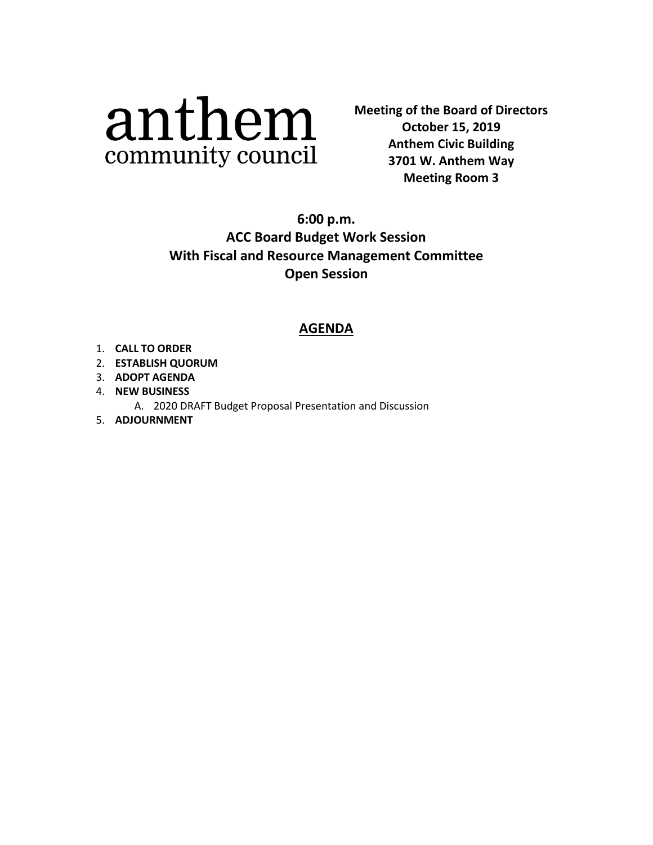# anthem community council

**Meeting of the Board of Directors Anthem Civic Building 3701 W. Anthem Way Meeting Room #3 3701 W. Anthem Way October 15, 2019 Anthem Civic Building Meeting Room 3**

**6:00 p.m. ACC Board Budget Work Session With Fiscal and Resource Management Committee Open Session**

## **AGENDA**

- 1. **CALL TO ORDER**
- 2. **ESTABLISH QUORUM**
- 3. **ADOPT AGENDA**
- 4. **NEW BUSINESS** 
	- A. 2020 DRAFT Budget Proposal Presentation and Discussion
- 5. **ADJOURNMENT**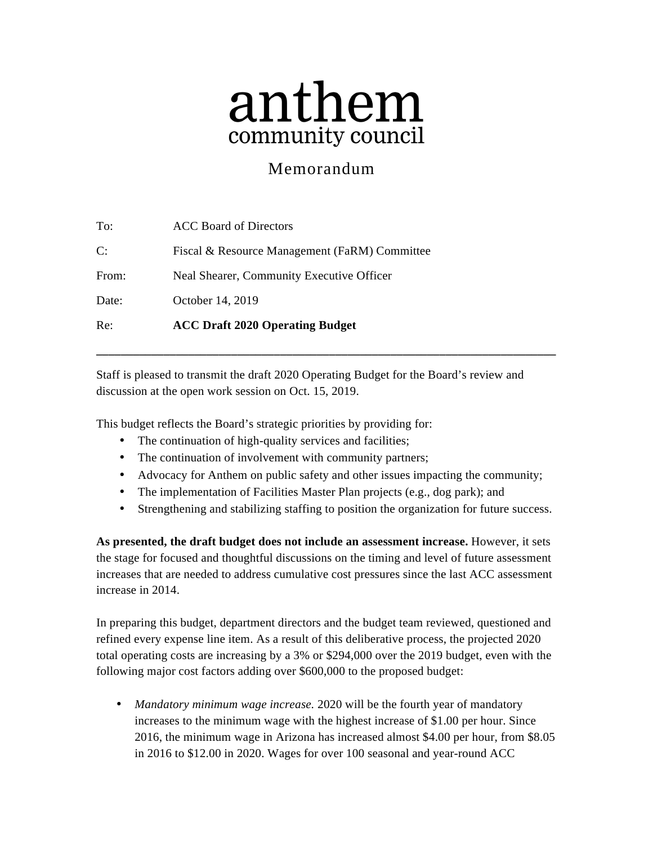# anthem community council

# Memorandum

| Re:   | <b>ACC Draft 2020 Operating Budget</b>        |
|-------|-----------------------------------------------|
| Date: | October 14, 2019                              |
| From: | Neal Shearer, Community Executive Officer     |
| C:    | Fiscal & Resource Management (FaRM) Committee |
| To:   | ACC Board of Directors                        |

Staff is pleased to transmit the draft 2020 Operating Budget for the Board's review and discussion at the open work session on Oct. 15, 2019.

**\_\_\_\_\_\_\_\_\_\_\_\_\_\_\_\_\_\_\_\_\_\_\_\_\_\_\_\_\_\_\_\_\_\_\_\_\_\_\_\_\_\_\_\_\_\_\_\_\_\_\_\_\_\_\_\_\_\_\_\_\_\_\_\_\_\_\_\_\_\_\_\_\_\_\_**

This budget reflects the Board's strategic priorities by providing for:

- The continuation of high-quality services and facilities;
- The continuation of involvement with community partners;
- Advocacy for Anthem on public safety and other issues impacting the community;
- The implementation of Facilities Master Plan projects (e.g., dog park); and
- Strengthening and stabilizing staffing to position the organization for future success.

**As presented, the draft budget does not include an assessment increase.** However, it sets the stage for focused and thoughtful discussions on the timing and level of future assessment increases that are needed to address cumulative cost pressures since the last ACC assessment increase in 2014.

In preparing this budget, department directors and the budget team reviewed, questioned and refined every expense line item. As a result of this deliberative process, the projected 2020 total operating costs are increasing by a 3% or \$294,000 over the 2019 budget, even with the following major cost factors adding over \$600,000 to the proposed budget:

• *Mandatory minimum wage increase.* 2020 will be the fourth year of mandatory increases to the minimum wage with the highest increase of \$1.00 per hour. Since 2016, the minimum wage in Arizona has increased almost \$4.00 per hour, from \$8.05 in 2016 to \$12.00 in 2020. Wages for over 100 seasonal and year-round ACC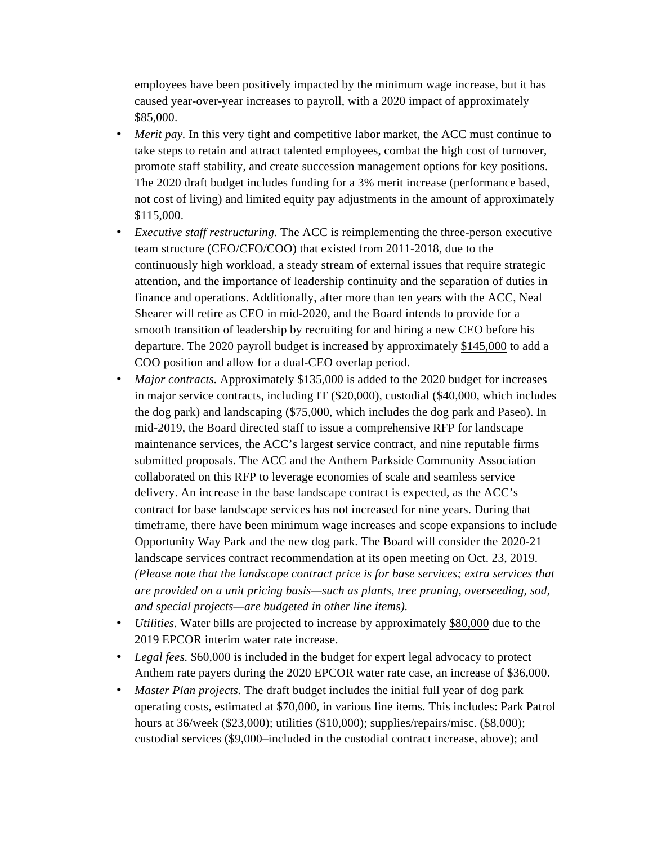employees have been positively impacted by the minimum wage increase, but it has caused year-over-year increases to payroll, with a 2020 impact of approximately \$85,000.

- *Merit pay.* In this very tight and competitive labor market, the ACC must continue to take steps to retain and attract talented employees, combat the high cost of turnover, promote staff stability, and create succession management options for key positions. The 2020 draft budget includes funding for a 3% merit increase (performance based, not cost of living) and limited equity pay adjustments in the amount of approximately \$115,000.
- *Executive staff restructuring.* The ACC is reimplementing the three-person executive team structure (CEO/CFO/COO) that existed from 2011-2018, due to the continuously high workload, a steady stream of external issues that require strategic attention, and the importance of leadership continuity and the separation of duties in finance and operations. Additionally, after more than ten years with the ACC, Neal Shearer will retire as CEO in mid-2020, and the Board intends to provide for a smooth transition of leadership by recruiting for and hiring a new CEO before his departure. The 2020 payroll budget is increased by approximately \$145,000 to add a COO position and allow for a dual-CEO overlap period.
- *Major contracts.* Approximately \$135,000 is added to the 2020 budget for increases in major service contracts, including IT (\$20,000), custodial (\$40,000, which includes the dog park) and landscaping (\$75,000, which includes the dog park and Paseo). In mid-2019, the Board directed staff to issue a comprehensive RFP for landscape maintenance services, the ACC's largest service contract, and nine reputable firms submitted proposals. The ACC and the Anthem Parkside Community Association collaborated on this RFP to leverage economies of scale and seamless service delivery. An increase in the base landscape contract is expected, as the ACC's contract for base landscape services has not increased for nine years. During that timeframe, there have been minimum wage increases and scope expansions to include Opportunity Way Park and the new dog park. The Board will consider the 2020-21 landscape services contract recommendation at its open meeting on Oct. 23, 2019. *(Please note that the landscape contract price is for base services; extra services that are provided on a unit pricing basis—such as plants, tree pruning, overseeding, sod, and special projects—are budgeted in other line items).*
- *Utilities.* Water bills are projected to increase by approximately \$80,000 due to the 2019 EPCOR interim water rate increase.
- *Legal fees.* \$60,000 is included in the budget for expert legal advocacy to protect Anthem rate payers during the 2020 EPCOR water rate case, an increase of \$36,000.
- *Master Plan projects.* The draft budget includes the initial full year of dog park operating costs, estimated at \$70,000, in various line items. This includes: Park Patrol hours at 36/week (\$23,000); utilities (\$10,000); supplies/repairs/misc. (\$8,000); custodial services (\$9,000–included in the custodial contract increase, above); and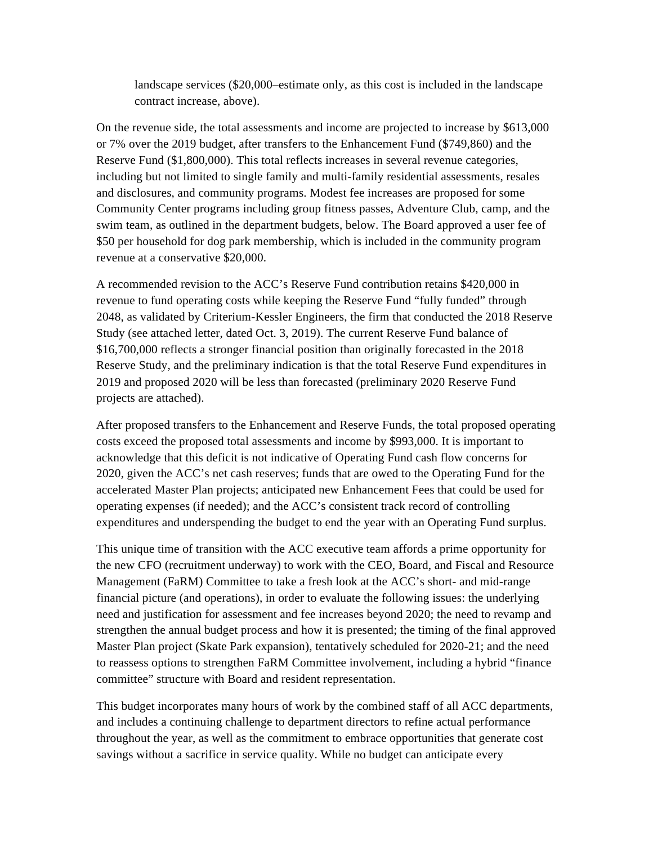landscape services (\$20,000–estimate only, as this cost is included in the landscape contract increase, above).

On the revenue side, the total assessments and income are projected to increase by \$613,000 or 7% over the 2019 budget, after transfers to the Enhancement Fund (\$749,860) and the Reserve Fund (\$1,800,000). This total reflects increases in several revenue categories, including but not limited to single family and multi-family residential assessments, resales and disclosures, and community programs. Modest fee increases are proposed for some Community Center programs including group fitness passes, Adventure Club, camp, and the swim team, as outlined in the department budgets, below. The Board approved a user fee of \$50 per household for dog park membership, which is included in the community program revenue at a conservative \$20,000.

A recommended revision to the ACC's Reserve Fund contribution retains \$420,000 in revenue to fund operating costs while keeping the Reserve Fund "fully funded" through 2048, as validated by Criterium-Kessler Engineers, the firm that conducted the 2018 Reserve Study (see attached letter, dated Oct. 3, 2019). The current Reserve Fund balance of \$16,700,000 reflects a stronger financial position than originally forecasted in the 2018 Reserve Study, and the preliminary indication is that the total Reserve Fund expenditures in 2019 and proposed 2020 will be less than forecasted (preliminary 2020 Reserve Fund projects are attached).

After proposed transfers to the Enhancement and Reserve Funds, the total proposed operating costs exceed the proposed total assessments and income by \$993,000. It is important to acknowledge that this deficit is not indicative of Operating Fund cash flow concerns for 2020, given the ACC's net cash reserves; funds that are owed to the Operating Fund for the accelerated Master Plan projects; anticipated new Enhancement Fees that could be used for operating expenses (if needed); and the ACC's consistent track record of controlling expenditures and underspending the budget to end the year with an Operating Fund surplus.

This unique time of transition with the ACC executive team affords a prime opportunity for the new CFO (recruitment underway) to work with the CEO, Board, and Fiscal and Resource Management (FaRM) Committee to take a fresh look at the ACC's short- and mid-range financial picture (and operations), in order to evaluate the following issues: the underlying need and justification for assessment and fee increases beyond 2020; the need to revamp and strengthen the annual budget process and how it is presented; the timing of the final approved Master Plan project (Skate Park expansion), tentatively scheduled for 2020-21; and the need to reassess options to strengthen FaRM Committee involvement, including a hybrid "finance committee" structure with Board and resident representation.

This budget incorporates many hours of work by the combined staff of all ACC departments, and includes a continuing challenge to department directors to refine actual performance throughout the year, as well as the commitment to embrace opportunities that generate cost savings without a sacrifice in service quality. While no budget can anticipate every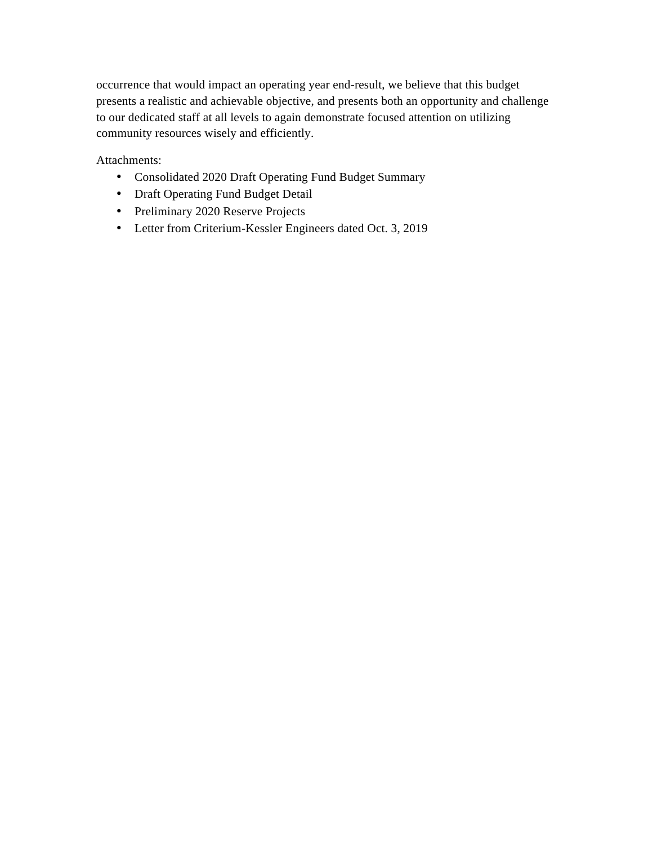occurrence that would impact an operating year end-result, we believe that this budget presents a realistic and achievable objective, and presents both an opportunity and challenge to our dedicated staff at all levels to again demonstrate focused attention on utilizing community resources wisely and efficiently.

Attachments:

- Consolidated 2020 Draft Operating Fund Budget Summary
- Draft Operating Fund Budget Detail
- Preliminary 2020 Reserve Projects
- Letter from Criterium-Kessler Engineers dated Oct. 3, 2019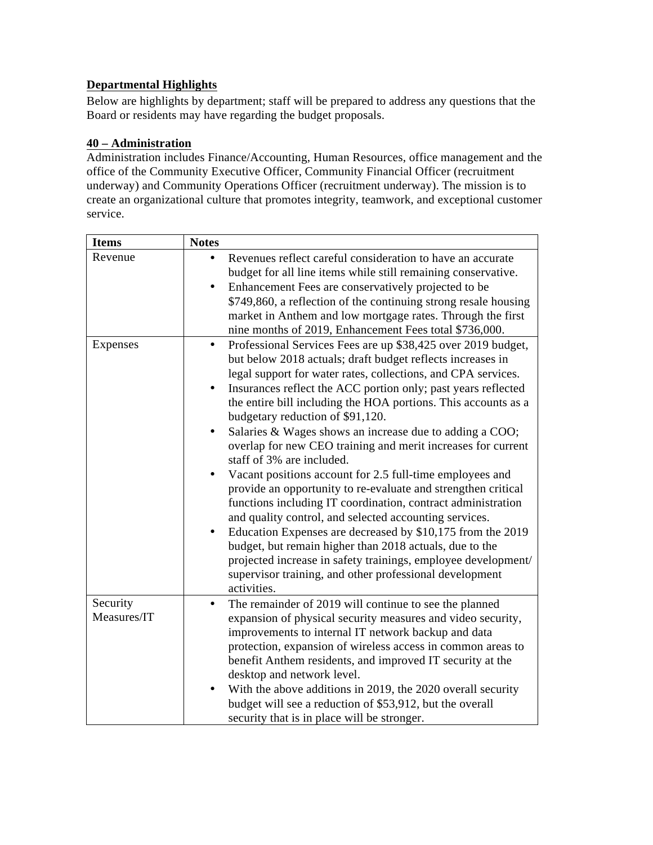#### **Departmental Highlights**

Below are highlights by department; staff will be prepared to address any questions that the Board or residents may have regarding the budget proposals.

#### **40 – Administration**

Administration includes Finance/Accounting, Human Resources, office management and the office of the Community Executive Officer, Community Financial Officer (recruitment underway) and Community Operations Officer (recruitment underway). The mission is to create an organizational culture that promotes integrity, teamwork, and exceptional customer service.

| <b>Items</b>            | <b>Notes</b>                                                                                                                                                                                                                                                                                                                                                                                                                                                                                                                                                                                                                                                                                                                                                                                                                                                                                                                                                                                                                                                                                      |  |  |  |
|-------------------------|---------------------------------------------------------------------------------------------------------------------------------------------------------------------------------------------------------------------------------------------------------------------------------------------------------------------------------------------------------------------------------------------------------------------------------------------------------------------------------------------------------------------------------------------------------------------------------------------------------------------------------------------------------------------------------------------------------------------------------------------------------------------------------------------------------------------------------------------------------------------------------------------------------------------------------------------------------------------------------------------------------------------------------------------------------------------------------------------------|--|--|--|
| Revenue                 | Revenues reflect careful consideration to have an accurate<br>budget for all line items while still remaining conservative.<br>Enhancement Fees are conservatively projected to be<br>\$749,860, a reflection of the continuing strong resale housing<br>market in Anthem and low mortgage rates. Through the first<br>nine months of 2019, Enhancement Fees total \$736,000.                                                                                                                                                                                                                                                                                                                                                                                                                                                                                                                                                                                                                                                                                                                     |  |  |  |
| Expenses                | Professional Services Fees are up \$38,425 over 2019 budget,<br>$\bullet$<br>but below 2018 actuals; draft budget reflects increases in<br>legal support for water rates, collections, and CPA services.<br>Insurances reflect the ACC portion only; past years reflected<br>the entire bill including the HOA portions. This accounts as a<br>budgetary reduction of \$91,120.<br>Salaries & Wages shows an increase due to adding a COO;<br>٠<br>overlap for new CEO training and merit increases for current<br>staff of 3% are included.<br>Vacant positions account for 2.5 full-time employees and<br>$\bullet$<br>provide an opportunity to re-evaluate and strengthen critical<br>functions including IT coordination, contract administration<br>and quality control, and selected accounting services.<br>Education Expenses are decreased by \$10,175 from the 2019<br>$\bullet$<br>budget, but remain higher than 2018 actuals, due to the<br>projected increase in safety trainings, employee development/<br>supervisor training, and other professional development<br>activities. |  |  |  |
| Security<br>Measures/IT | The remainder of 2019 will continue to see the planned<br>$\bullet$<br>expansion of physical security measures and video security,<br>improvements to internal IT network backup and data<br>protection, expansion of wireless access in common areas to<br>benefit Anthem residents, and improved IT security at the<br>desktop and network level.<br>With the above additions in 2019, the 2020 overall security<br>budget will see a reduction of \$53,912, but the overall<br>security that is in place will be stronger.                                                                                                                                                                                                                                                                                                                                                                                                                                                                                                                                                                     |  |  |  |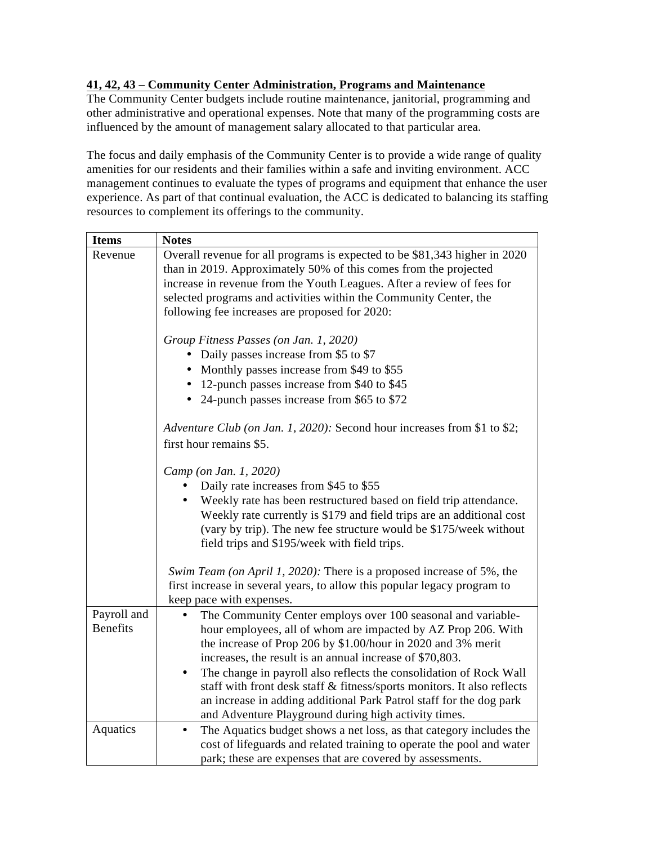#### **41, 42, 43 – Community Center Administration, Programs and Maintenance**

The Community Center budgets include routine maintenance, janitorial, programming and other administrative and operational expenses. Note that many of the programming costs are influenced by the amount of management salary allocated to that particular area.

The focus and daily emphasis of the Community Center is to provide a wide range of quality amenities for our residents and their families within a safe and inviting environment. ACC management continues to evaluate the types of programs and equipment that enhance the user experience. As part of that continual evaluation, the ACC is dedicated to balancing its staffing resources to complement its offerings to the community.

| <b>Items</b>    | <b>Notes</b>                                                                     |  |  |  |  |  |  |  |  |
|-----------------|----------------------------------------------------------------------------------|--|--|--|--|--|--|--|--|
| Revenue         | Overall revenue for all programs is expected to be \$81,343 higher in 2020       |  |  |  |  |  |  |  |  |
|                 | than in 2019. Approximately 50% of this comes from the projected                 |  |  |  |  |  |  |  |  |
|                 | increase in revenue from the Youth Leagues. After a review of fees for           |  |  |  |  |  |  |  |  |
|                 | selected programs and activities within the Community Center, the                |  |  |  |  |  |  |  |  |
|                 | following fee increases are proposed for 2020:                                   |  |  |  |  |  |  |  |  |
|                 | Group Fitness Passes (on Jan. 1, 2020)                                           |  |  |  |  |  |  |  |  |
|                 | Daily passes increase from \$5 to \$7                                            |  |  |  |  |  |  |  |  |
|                 | Monthly passes increase from \$49 to \$55                                        |  |  |  |  |  |  |  |  |
|                 | • 12-punch passes increase from \$40 to \$45                                     |  |  |  |  |  |  |  |  |
|                 | 24-punch passes increase from \$65 to \$72<br>$\bullet$                          |  |  |  |  |  |  |  |  |
|                 | Adventure Club (on Jan. 1, 2020): Second hour increases from \$1 to \$2;         |  |  |  |  |  |  |  |  |
|                 | first hour remains \$5.                                                          |  |  |  |  |  |  |  |  |
|                 | Camp (on Jan. 1, 2020)                                                           |  |  |  |  |  |  |  |  |
|                 | Daily rate increases from \$45 to \$55                                           |  |  |  |  |  |  |  |  |
|                 | Weekly rate has been restructured based on field trip attendance.                |  |  |  |  |  |  |  |  |
|                 | Weekly rate currently is \$179 and field trips are an additional cost            |  |  |  |  |  |  |  |  |
|                 | (vary by trip). The new fee structure would be \$175/week without                |  |  |  |  |  |  |  |  |
|                 | field trips and \$195/week with field trips.                                     |  |  |  |  |  |  |  |  |
|                 | Swim Team (on April 1, 2020): There is a proposed increase of 5%, the            |  |  |  |  |  |  |  |  |
|                 | first increase in several years, to allow this popular legacy program to         |  |  |  |  |  |  |  |  |
|                 | keep pace with expenses.                                                         |  |  |  |  |  |  |  |  |
| Payroll and     | The Community Center employs over 100 seasonal and variable-<br>$\bullet$        |  |  |  |  |  |  |  |  |
| <b>Benefits</b> | hour employees, all of whom are impacted by AZ Prop 206. With                    |  |  |  |  |  |  |  |  |
|                 | the increase of Prop 206 by \$1.00/hour in 2020 and 3% merit                     |  |  |  |  |  |  |  |  |
|                 | increases, the result is an annual increase of \$70,803.                         |  |  |  |  |  |  |  |  |
|                 | The change in payroll also reflects the consolidation of Rock Wall<br>$\bullet$  |  |  |  |  |  |  |  |  |
|                 | staff with front desk staff & fitness/sports monitors. It also reflects          |  |  |  |  |  |  |  |  |
|                 | an increase in adding additional Park Patrol staff for the dog park              |  |  |  |  |  |  |  |  |
|                 | and Adventure Playground during high activity times.                             |  |  |  |  |  |  |  |  |
| Aquatics        | The Aquatics budget shows a net loss, as that category includes the<br>$\bullet$ |  |  |  |  |  |  |  |  |
|                 | cost of lifeguards and related training to operate the pool and water            |  |  |  |  |  |  |  |  |
|                 | park; these are expenses that are covered by assessments.                        |  |  |  |  |  |  |  |  |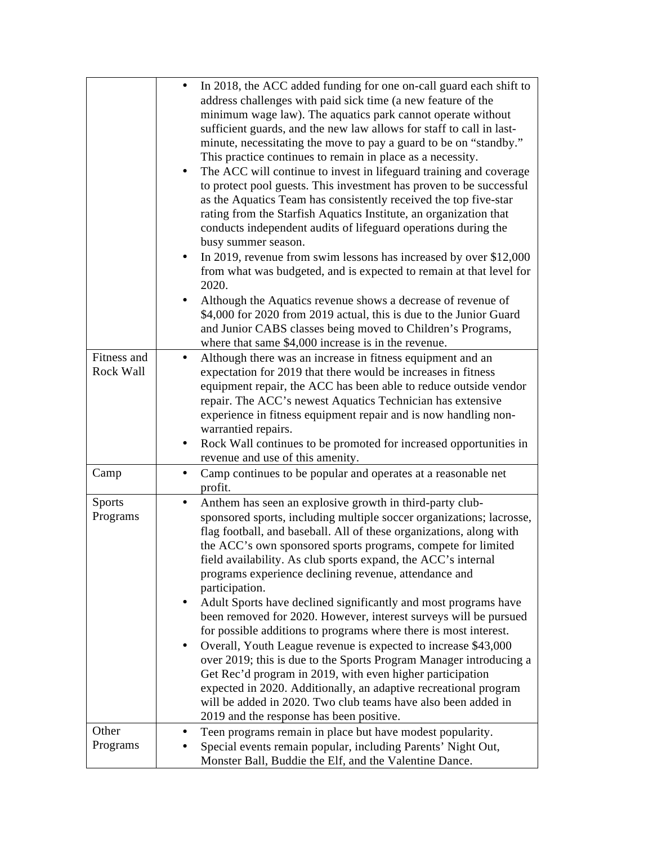|                           | In 2018, the ACC added funding for one on-call guard each shift to<br>address challenges with paid sick time (a new feature of the<br>minimum wage law). The aquatics park cannot operate without<br>sufficient guards, and the new law allows for staff to call in last-<br>minute, necessitating the move to pay a guard to be on "standby."<br>This practice continues to remain in place as a necessity.<br>The ACC will continue to invest in lifeguard training and coverage<br>٠<br>to protect pool guests. This investment has proven to be successful<br>as the Aquatics Team has consistently received the top five-star<br>rating from the Starfish Aquatics Institute, an organization that<br>conducts independent audits of lifeguard operations during the<br>busy summer season.<br>In 2019, revenue from swim lessons has increased by over \$12,000<br>from what was budgeted, and is expected to remain at that level for<br>2020.<br>Although the Aquatics revenue shows a decrease of revenue of<br>\$4,000 for 2020 from 2019 actual, this is due to the Junior Guard<br>and Junior CABS classes being moved to Children's Programs,<br>where that same \$4,000 increase is in the revenue. |
|---------------------------|-------------------------------------------------------------------------------------------------------------------------------------------------------------------------------------------------------------------------------------------------------------------------------------------------------------------------------------------------------------------------------------------------------------------------------------------------------------------------------------------------------------------------------------------------------------------------------------------------------------------------------------------------------------------------------------------------------------------------------------------------------------------------------------------------------------------------------------------------------------------------------------------------------------------------------------------------------------------------------------------------------------------------------------------------------------------------------------------------------------------------------------------------------------------------------------------------------------------|
| Fitness and<br>Rock Wall  | Although there was an increase in fitness equipment and an<br>$\bullet$<br>expectation for 2019 that there would be increases in fitness<br>equipment repair, the ACC has been able to reduce outside vendor<br>repair. The ACC's newest Aquatics Technician has extensive<br>experience in fitness equipment repair and is now handling non-                                                                                                                                                                                                                                                                                                                                                                                                                                                                                                                                                                                                                                                                                                                                                                                                                                                                     |
|                           | warrantied repairs.<br>Rock Wall continues to be promoted for increased opportunities in<br>revenue and use of this amenity.                                                                                                                                                                                                                                                                                                                                                                                                                                                                                                                                                                                                                                                                                                                                                                                                                                                                                                                                                                                                                                                                                      |
| Camp                      | Camp continues to be popular and operates at a reasonable net<br>$\bullet$<br>profit.                                                                                                                                                                                                                                                                                                                                                                                                                                                                                                                                                                                                                                                                                                                                                                                                                                                                                                                                                                                                                                                                                                                             |
| <b>Sports</b><br>Programs | Anthem has seen an explosive growth in third-party club-<br>$\bullet$<br>sponsored sports, including multiple soccer organizations; lacrosse,<br>flag football, and baseball. All of these organizations, along with<br>the ACC's own sponsored sports programs, compete for limited<br>field availability. As club sports expand, the ACC's internal<br>programs experience declining revenue, attendance and<br>participation.<br>Adult Sports have declined significantly and most programs have<br>been removed for 2020. However, interest surveys will be pursued<br>for possible additions to programs where there is most interest.<br>Overall, Youth League revenue is expected to increase \$43,000<br>٠<br>over 2019; this is due to the Sports Program Manager introducing a<br>Get Rec'd program in 2019, with even higher participation<br>expected in 2020. Additionally, an adaptive recreational program<br>will be added in 2020. Two club teams have also been added in<br>2019 and the response has been positive.                                                                                                                                                                            |
| Other<br>Programs         | Teen programs remain in place but have modest popularity.<br>Special events remain popular, including Parents' Night Out,<br>Monster Ball, Buddie the Elf, and the Valentine Dance.                                                                                                                                                                                                                                                                                                                                                                                                                                                                                                                                                                                                                                                                                                                                                                                                                                                                                                                                                                                                                               |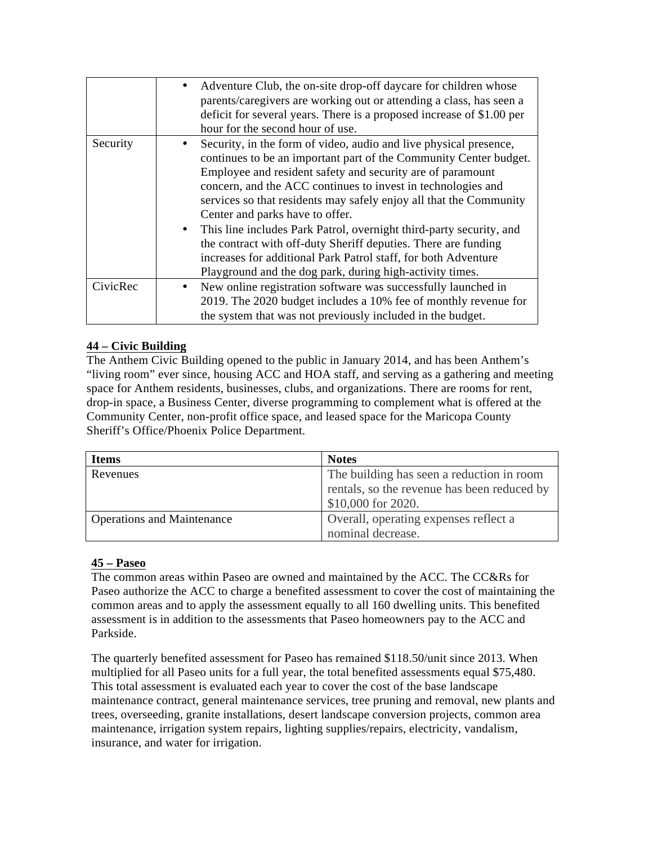|          | Adventure Club, the on-site drop-off daycare for children whose<br>$\bullet$<br>parents/caregivers are working out or attending a class, has seen a<br>deficit for several years. There is a proposed increase of \$1.00 per<br>hour for the second hour of use.                                                                                                                                                                                                                                                                                                                                                                                                  |
|----------|-------------------------------------------------------------------------------------------------------------------------------------------------------------------------------------------------------------------------------------------------------------------------------------------------------------------------------------------------------------------------------------------------------------------------------------------------------------------------------------------------------------------------------------------------------------------------------------------------------------------------------------------------------------------|
| Security | Security, in the form of video, audio and live physical presence,<br>continues to be an important part of the Community Center budget.<br>Employee and resident safety and security are of paramount<br>concern, and the ACC continues to invest in technologies and<br>services so that residents may safely enjoy all that the Community<br>Center and parks have to offer.<br>This line includes Park Patrol, overnight third-party security, and<br>$\bullet$<br>the contract with off-duty Sheriff deputies. There are funding<br>increases for additional Park Patrol staff, for both Adventure<br>Playground and the dog park, during high-activity times. |
| CivicRec | New online registration software was successfully launched in<br>2019. The 2020 budget includes a 10% fee of monthly revenue for<br>the system that was not previously included in the budget.                                                                                                                                                                                                                                                                                                                                                                                                                                                                    |

#### **44 – Civic Building**

The Anthem Civic Building opened to the public in January 2014, and has been Anthem's "living room" ever since, housing ACC and HOA staff, and serving as a gathering and meeting space for Anthem residents, businesses, clubs, and organizations. There are rooms for rent, drop-in space, a Business Center, diverse programming to complement what is offered at the Community Center, non-profit office space, and leased space for the Maricopa County Sheriff's Office/Phoenix Police Department.

| <b>Items</b>                      | <b>Notes</b>                                |  |  |
|-----------------------------------|---------------------------------------------|--|--|
| Revenues                          | The building has seen a reduction in room   |  |  |
|                                   | rentals, so the revenue has been reduced by |  |  |
|                                   | \$10,000 for 2020.                          |  |  |
| <b>Operations and Maintenance</b> | Overall, operating expenses reflect a       |  |  |
|                                   | nominal decrease.                           |  |  |

#### **45 – Paseo**

The common areas within Paseo are owned and maintained by the ACC. The CC&Rs for Paseo authorize the ACC to charge a benefited assessment to cover the cost of maintaining the common areas and to apply the assessment equally to all 160 dwelling units. This benefited assessment is in addition to the assessments that Paseo homeowners pay to the ACC and Parkside.

The quarterly benefited assessment for Paseo has remained \$118.50/unit since 2013. When multiplied for all Paseo units for a full year, the total benefited assessments equal \$75,480. This total assessment is evaluated each year to cover the cost of the base landscape maintenance contract, general maintenance services, tree pruning and removal, new plants and trees, overseeding, granite installations, desert landscape conversion projects, common area maintenance, irrigation system repairs, lighting supplies/repairs, electricity, vandalism, insurance, and water for irrigation.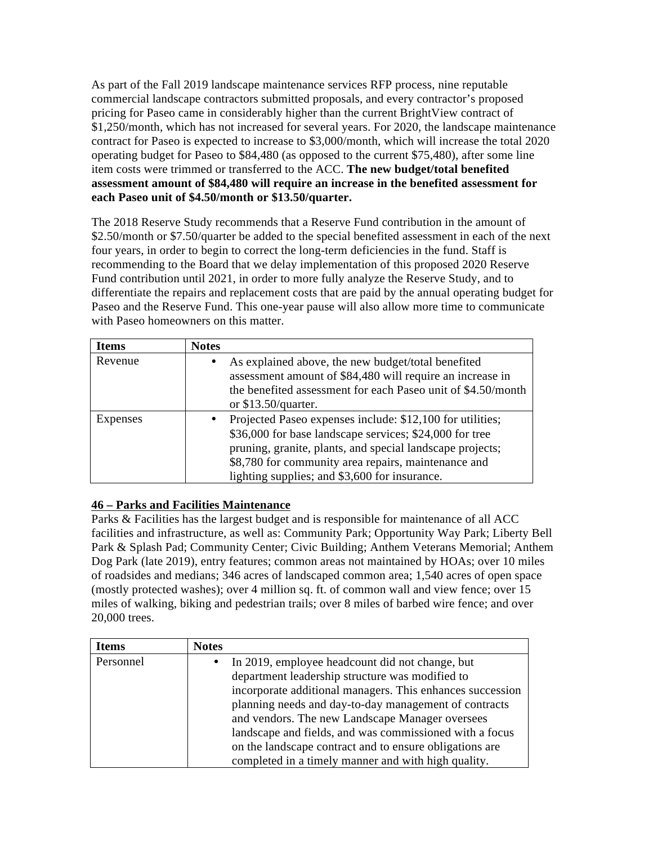As part of the Fall 2019 landscape maintenance services RFP process, nine reputable commercial landscape contractors submitted proposals, and every contractor's proposed pricing for Paseo came in considerably higher than the current BrightView contract of \$1,250/month, which has not increased for several years. For 2020, the landscape maintenance contract for Paseo is expected to increase to \$3,000/month, which will increase the total 2020 operating budget for Paseo to \$84,480 (as opposed to the current \$75,480), after some line item costs were trimmed or transferred to the ACC. **The new budget/total benefited assessment amount of \$84,480 will require an increase in the benefited assessment for each Paseo unit of \$4.50/month or \$13.50/quarter.**

The 2018 Reserve Study recommends that a Reserve Fund contribution in the amount of \$2.50/month or \$7.50/quarter be added to the special benefited assessment in each of the next four years, in order to begin to correct the long-term deficiencies in the fund. Staff is recommending to the Board that we delay implementation of this proposed 2020 Reserve Fund contribution until 2021, in order to more fully analyze the Reserve Study, and to differentiate the repairs and replacement costs that are paid by the annual operating budget for Paseo and the Reserve Fund. This one-year pause will also allow more time to communicate with Paseo homeowners on this matter.

| <b>Items</b> | <b>Notes</b> |                                                                                                                                                                                                                                                                                           |
|--------------|--------------|-------------------------------------------------------------------------------------------------------------------------------------------------------------------------------------------------------------------------------------------------------------------------------------------|
| Revenue      |              | As explained above, the new budget/total benefited<br>assessment amount of \$84,480 will require an increase in<br>the benefited assessment for each Paseo unit of \$4.50/month<br>or $$13.50$ /quarter.                                                                                  |
| Expenses     |              | Projected Paseo expenses include: \$12,100 for utilities;<br>\$36,000 for base landscape services; \$24,000 for tree<br>pruning, granite, plants, and special landscape projects;<br>\$8,780 for community area repairs, maintenance and<br>lighting supplies; and \$3,600 for insurance. |

#### **46 – Parks and Facilities Maintenance**

Parks & Facilities has the largest budget and is responsible for maintenance of all ACC facilities and infrastructure, as well as: Community Park; Opportunity Way Park; Liberty Bell Park & Splash Pad; Community Center; Civic Building; Anthem Veterans Memorial; Anthem Dog Park (late 2019), entry features; common areas not maintained by HOAs; over 10 miles of roadsides and medians; 346 acres of landscaped common area; 1,540 acres of open space (mostly protected washes); over 4 million sq. ft. of common wall and view fence; over 15 miles of walking, biking and pedestrian trails; over 8 miles of barbed wire fence; and over 20,000 trees.

| <b>Items</b> | <b>Notes</b> |                                                           |  |  |  |  |
|--------------|--------------|-----------------------------------------------------------|--|--|--|--|
| Personnel    | $\bullet$    | In 2019, employee headcount did not change, but           |  |  |  |  |
|              |              | department leadership structure was modified to           |  |  |  |  |
|              |              | incorporate additional managers. This enhances succession |  |  |  |  |
|              |              | planning needs and day-to-day management of contracts     |  |  |  |  |
|              |              | and vendors. The new Landscape Manager oversees           |  |  |  |  |
|              |              | landscape and fields, and was commissioned with a focus   |  |  |  |  |
|              |              | on the landscape contract and to ensure obligations are   |  |  |  |  |
|              |              | completed in a timely manner and with high quality.       |  |  |  |  |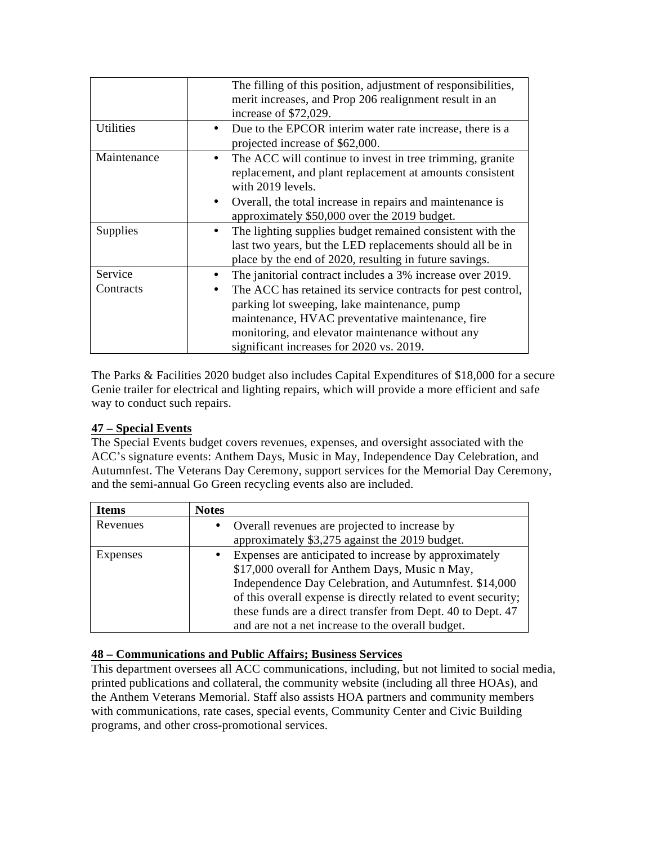|             | The filling of this position, adjustment of responsibilities,<br>merit increases, and Prop 206 realignment result in an<br>increase of \$72,029.                                 |
|-------------|----------------------------------------------------------------------------------------------------------------------------------------------------------------------------------|
| Utilities   | Due to the EPCOR interim water rate increase, there is a<br>projected increase of \$62,000.                                                                                      |
| Maintenance | The ACC will continue to invest in tree trimming, granite<br>replacement, and plant replacement at amounts consistent<br>with 2019 levels.                                       |
|             | Overall, the total increase in repairs and maintenance is<br>approximately \$50,000 over the 2019 budget.                                                                        |
| Supplies    | The lighting supplies budget remained consistent with the<br>last two years, but the LED replacements should all be in<br>place by the end of 2020, resulting in future savings. |
| Service     | The janitorial contract includes a 3% increase over 2019.                                                                                                                        |
| Contracts   | The ACC has retained its service contracts for pest control,                                                                                                                     |
|             | parking lot sweeping, lake maintenance, pump                                                                                                                                     |
|             | maintenance, HVAC preventative maintenance, fire                                                                                                                                 |
|             | monitoring, and elevator maintenance without any                                                                                                                                 |
|             | significant increases for 2020 vs. 2019.                                                                                                                                         |

The Parks & Facilities 2020 budget also includes Capital Expenditures of \$18,000 for a secure Genie trailer for electrical and lighting repairs, which will provide a more efficient and safe way to conduct such repairs.

#### **47 – Special Events**

The Special Events budget covers revenues, expenses, and oversight associated with the ACC's signature events: Anthem Days, Music in May, Independence Day Celebration, and Autumnfest. The Veterans Day Ceremony, support services for the Memorial Day Ceremony, and the semi-annual Go Green recycling events also are included.

| <b>Items</b> | <b>Notes</b> |                                                                |
|--------------|--------------|----------------------------------------------------------------|
| Revenues     | $\bullet$    | Overall revenues are projected to increase by                  |
|              |              | approximately \$3,275 against the 2019 budget.                 |
| Expenses     | $\bullet$    | Expenses are anticipated to increase by approximately          |
|              |              | \$17,000 overall for Anthem Days, Music n May,                 |
|              |              | Independence Day Celebration, and Autumnfest. \$14,000         |
|              |              | of this overall expense is directly related to event security; |
|              |              | these funds are a direct transfer from Dept. 40 to Dept. 47    |
|              |              | and are not a net increase to the overall budget.              |

## **48 – Communications and Public Affairs; Business Services**

This department oversees all ACC communications, including, but not limited to social media, printed publications and collateral, the community website (including all three HOAs), and the Anthem Veterans Memorial. Staff also assists HOA partners and community members with communications, rate cases, special events, Community Center and Civic Building programs, and other cross-promotional services.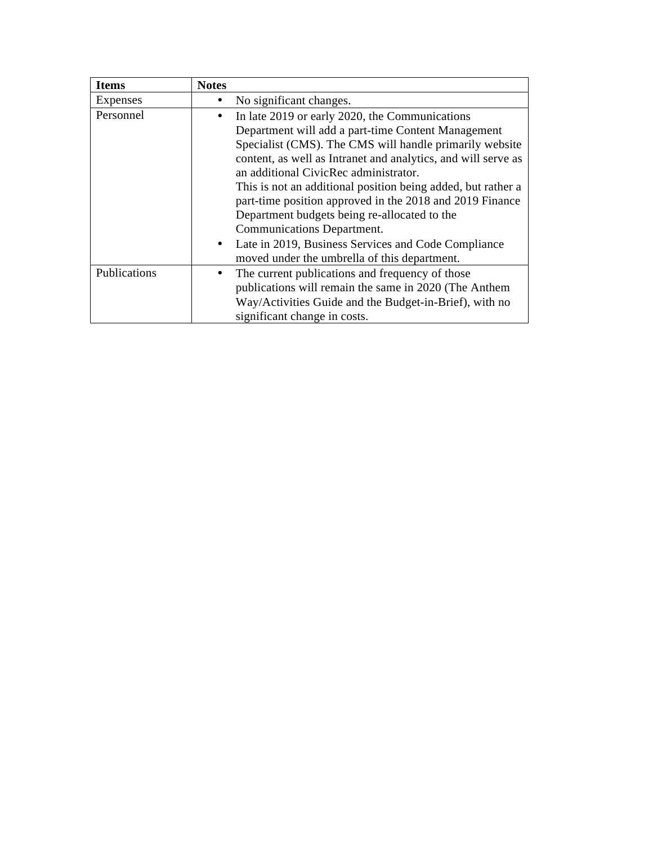| <b>Items</b> | <b>Notes</b>                                                     |
|--------------|------------------------------------------------------------------|
| Expenses     | No significant changes.                                          |
| Personnel    | In late 2019 or early 2020, the Communications                   |
|              | Department will add a part-time Content Management               |
|              | Specialist (CMS). The CMS will handle primarily website          |
|              | content, as well as Intranet and analytics, and will serve as    |
|              | an additional CivicRec administrator.                            |
|              | This is not an additional position being added, but rather a     |
|              | part-time position approved in the 2018 and 2019 Finance         |
|              | Department budgets being re-allocated to the                     |
|              | Communications Department.                                       |
|              | Late in 2019, Business Services and Code Compliance<br>$\bullet$ |
|              | moved under the umbrella of this department.                     |
| Publications | The current publications and frequency of those<br>٠             |
|              | publications will remain the same in 2020 (The Anthem            |
|              | Way/Activities Guide and the Budget-in-Brief), with no           |
|              | significant change in costs.                                     |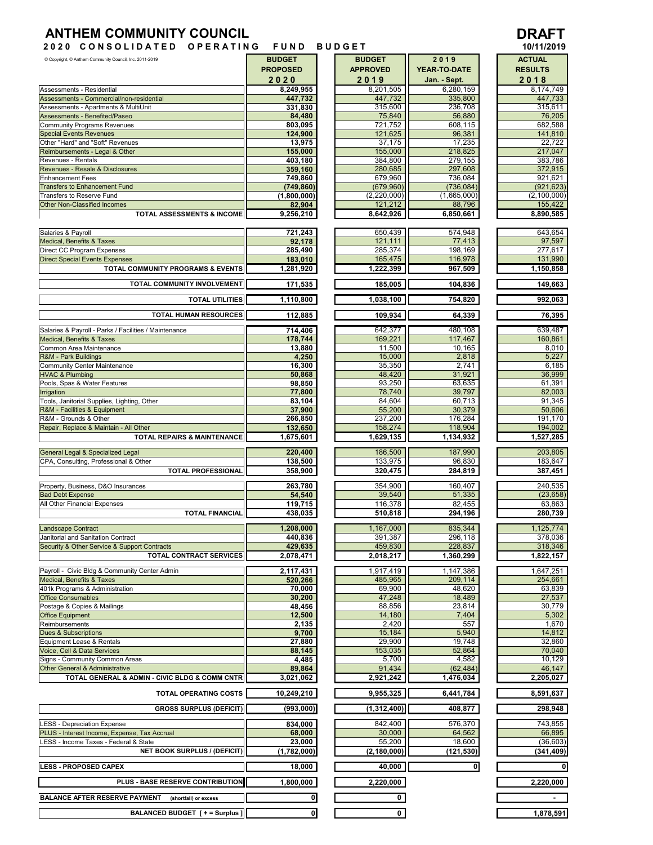## **ANTHEM COMMUNITY COUNCIL DRAFT**

**2 0 2 0 C O N S O L I D A T E D O P E R A T I N G F U N D B U D G E T**



| Copyright, C Anthem Community Council, Inc. 2011-2019                       | <b>BUDGET</b>        | <b>BUDGET</b>        | 2019               | <b>ACTUAL</b>        |
|-----------------------------------------------------------------------------|----------------------|----------------------|--------------------|----------------------|
|                                                                             | <b>PROPOSED</b>      | <b>APPROVED</b>      | YEAR-TO-DATE       | <b>RESULTS</b>       |
|                                                                             | 2020                 | 2019                 | Jan. - Sept.       | 2018                 |
| Assessments - Residential                                                   | 8,249,955            | 8,201,505            | 6,280,159          | 8,174,749            |
| Assessments - Commercial/non-residential                                    | 447,732              | 447,732              | 335,800            | 447,733              |
| Assessments - Apartments & MultiUnit<br>Assessments - Benefited/Paseo       | 331,830<br>84,480    | 315,600<br>75,840    | 236,708<br>56,880  | 315,611<br>76,205    |
| <b>Community Programs Revenues</b>                                          | 803,095              | 721,752              | 608,115            | 682,588              |
| <b>Special Events Revenues</b>                                              | 124,900              | 121,625              | 96,381             | 141,810              |
| Other "Hard" and "Soft" Revenues                                            | 13,975               | 37,175               | 17,235             | 22,722               |
| Reimbursements - Legal & Other                                              | 155,000              | 155,000              | 218,825            | 217,047              |
| Revenues - Rentals                                                          | 403,180              | 384.800              | 279,155            | 383,786              |
| Revenues - Resale & Disclosures<br><b>Enhancement Fees</b>                  | 359,160<br>749,860   | 280,685<br>679,960   | 297,608<br>736,084 | 372,915<br>921.621   |
| <b>Transfers to Enhancement Fund</b>                                        | (749.860)            | (679,960)            | (736, 084)         | (921, 623)           |
| Transfers to Reserve Fund                                                   | (1,800,000)          | (2, 220, 000)        | (1,665,000)        | (2, 100, 000)        |
| <b>Other Non-Classified Incomes</b>                                         | 82,904               | 121,212              | 88,796             | 155,422              |
| TOTAL ASSESSMENTS & INCOME                                                  | 9,256,210            | 8,642,926            | 6,850,661          | 8,890,585            |
|                                                                             |                      |                      |                    |                      |
| Salaries & Payroll<br>Medical, Benefits & Taxes                             | 721,243<br>92,178    | 650,439<br>121,111   | 574,948<br>77,413  | 643,654<br>97,597    |
| Direct CC Program Expenses                                                  | 285,490              | 285,374              | 198,169            | 277,617              |
| <b>Direct Special Events Expenses</b>                                       | 183,010              | 165,475              | 116,978            | 131,990              |
| TOTAL COMMUNITY PROGRAMS & EVENTS                                           | 1,281,920            | 1,222,399            | 967,509            | 1,150,858            |
| TOTAL COMMUNITY INVOLVEMENT                                                 | 171,535              | 185,005              | 104,836            | 149,663              |
|                                                                             |                      |                      |                    |                      |
| <b>TOTAL UTILITIES</b>                                                      | 1,110,800            | 1,038,100            | 754,820            | 992,063              |
| TOTAL HUMAN RESOURCES                                                       | 112,885              | 109,934              | 64,339             | 76,395               |
|                                                                             |                      |                      |                    |                      |
| Salaries & Payroll - Parks / Facilities / Maintenance                       | 714,406              | 642,377              | 480,108            | 639,487              |
| Medical, Benefits & Taxes<br>Common Area Maintenance                        | 178,744<br>13,880    | 169,221<br>11,500    | 117,467<br>10,165  | 160,861<br>8,010     |
| R&M - Park Buildings                                                        | 4,250                | 15,000               | 2,818              | 5,227                |
| Community Center Maintenance                                                | 16,300               | 35,350               | 2,741              | 6,185                |
| <b>HVAC &amp; Plumbing</b>                                                  | 50,868               | 48,420               | 31,921             | 36,999               |
| Pools, Spas & Water Features                                                | 98,850               | 93,250               | 63,635             | 61,391               |
| <b>Irrigation</b>                                                           | 77,800               | 78,740               | 39,797             | 82,003               |
| Tools, Janitorial Supplies, Lighting, Other<br>R&M - Facilities & Equipment | 83,104<br>37,900     | 84,604<br>55,200     | 60,713<br>30,379   | 91,345<br>50,606     |
| R&M - Grounds & Other                                                       | 266,850              | 237,200              | 176,284            | 191,170              |
| Repair, Replace & Maintain - All Other                                      | 132,650              | 158,274              | 118,904            | 194,002              |
| <b>TOTAL REPAIRS &amp; MAINTENANCE</b>                                      | 1,675,601            | 1,629,135            | 1,134,932          | 1,527,285            |
| General Legal & Specialized Legal                                           | 220,400              | 186,500              | 187,990            | 203,805              |
| CPA, Consulting, Professional & Other                                       | 138,500              | 133,975              | 96,830             | 183,647              |
| <b>TOTAL PROFESSIONAL</b>                                                   | 358,900              | 320,475              | 284,819            | 387,451              |
|                                                                             |                      |                      |                    |                      |
| Property, Business, D&O Insurances<br><b>Bad Debt Expense</b>               | 263,780<br>54,540    | 354,900<br>39,540    | 160,407<br>51,335  | 240,535<br>(23, 658) |
| All Other Financial Expenses                                                | 119,715              | 116,378              | 82,455             | 63,863               |
| <b>TOTAL FINANCIAL</b>                                                      | 438,035              | 510,818              | 294,196            | 280,739              |
|                                                                             |                      |                      |                    |                      |
| Landscape Contract<br>Janitorial and Sanitation Contract                    | 1,208,000<br>440.836 | 1,167,000<br>391,387 | 835,344<br>296,118 | 1,125,774<br>378,036 |
| Security & Other Service & Support Contracts                                | 429,635              | 459,830              | 228,837            | 318,346              |
| TOTAL CONTRACT SERVICES                                                     | 2,078,471            | 2,018,217            | 1,360,299          | 1,822,157            |
|                                                                             |                      |                      |                    |                      |
| Payroll - Civic Bldg & Community Center Admin<br>Medical, Benefits & Taxes  | 2,117,431            | 1,917,419            | 1,147,386          | 1,647,251            |
| 401k Programs & Administration                                              | 520,266<br>70,000    | 485,965<br>69,900    | 209,114<br>48,620  | 254,661<br>63,839    |
| <b>Office Consumables</b>                                                   | 30,200               | 47,248               | 18,489             | 27,537               |
| Postage & Copies & Mailings                                                 | 48,456               | 88,856               | 23,814             | 30,779               |
| <b>Office Equipment</b>                                                     | 12,500               | 14,180               | 7,404              | 5,302                |
| Reimbursements                                                              | 2,135                | 2,420                | 557                | 1,670                |
| <b>Dues &amp; Subscriptions</b><br>Equipment Lease & Rentals                | 9,700<br>27,880      | 15,184<br>29,900     | 5,940<br>19,748    | 14,812<br>32,860     |
| Voice, Cell & Data Services                                                 | 88,145               | 153,035              | 52,864             | 70,040               |
| Signs - Community Common Areas                                              | 4,485                | 5,700                | 4,582              | 10,129               |
| <b>Other General &amp; Administrative</b>                                   | 89,864               | 91,434               | (62, 484)          | 46,147               |
| TOTAL GENERAL & ADMIN - CIVIC BLDG & COMM CNTR                              | 3,021,062            | 2,921,242            | 1,476,034          | 2,205,027            |
| TOTAL OPERATING COSTS                                                       | 10,249,210           | 9,955,325            | 6,441,784          | 8,591,637            |
|                                                                             |                      |                      |                    |                      |
| <b>GROSS SURPLUS (DEFICIT)</b>                                              | (993,000)            | (1,312,400)          | 408,877            | 298,948              |
| <b>LESS - Depreciation Expense</b>                                          | 834,000              | 842,400              | 576,370            | 743,855              |
| PLUS - Interest Income, Expense, Tax Accrual                                | 68,000               | 30,000               | 64,562             | 66,895               |
| LESS - Income Taxes - Federal & State                                       | 23,000               | 55,200               | 18,600             | (36, 603)            |
| <b>NET BOOK SURPLUS / (DEFICIT)</b>                                         | (1,782,000)          | (2, 180, 000)        | (121,530)          | (341,409)            |
| <b>LESS - PROPOSED CAPEX</b>                                                | 18,000               | 40,000               | $\bullet$          | 0                    |
|                                                                             |                      |                      |                    |                      |
| PLUS - BASE RESERVE CONTRIBUTION                                            | 1,800,000            | 2,220,000            |                    | 2,220,000            |
| <b>BALANCE AFTER RESERVE PAYMENT</b><br>(shortfall) or excess               | 0                    | $\mathbf{0}$         |                    | $\sim$               |
| BALANCED BUDGET [ + = Surplus ]                                             | $\mathbf 0$          | 0                    |                    | 1,878,591            |
|                                                                             |                      |                      |                    |                      |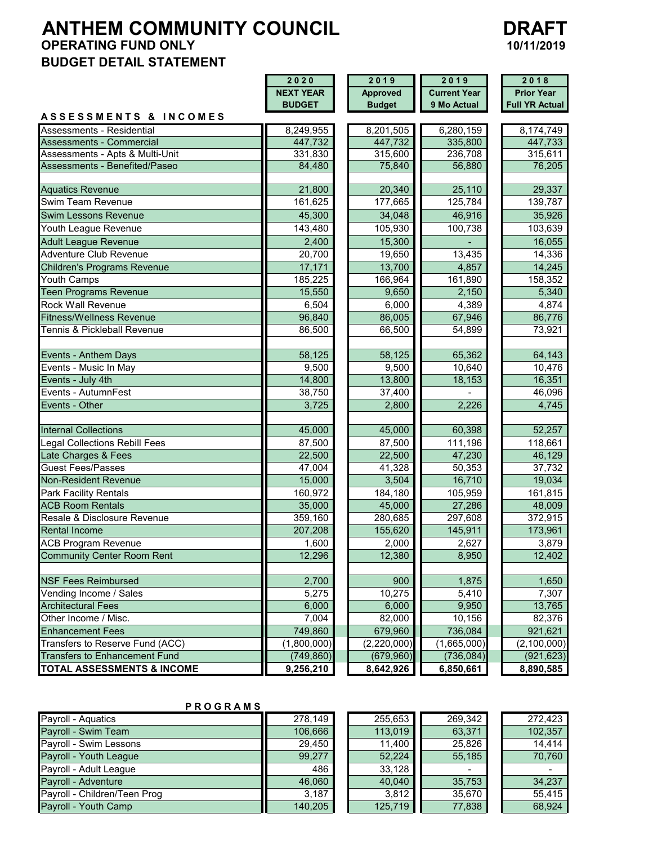# **ANTHEM COMMUNITY COUNCIL DRAFT**<br>OPERATING FUND ONLY 10/11/2019 **OPERATING FUND ONLY BUDGET DETAIL STATEMENT**



|                                       | 2020<br>2019     |                 | 2019                | 2018                  |  |
|---------------------------------------|------------------|-----------------|---------------------|-----------------------|--|
|                                       | <b>NEXT YEAR</b> | <b>Approved</b> | <b>Current Year</b> | <b>Prior Year</b>     |  |
|                                       | <b>BUDGET</b>    | <b>Budget</b>   | 9 Mo Actual         | <b>Full YR Actual</b> |  |
| <b>ASSESSMENTS &amp; INCOMES</b>      |                  |                 |                     |                       |  |
| Assessments - Residential             | 8,249,955        | 8,201,505       | 6,280,159           | 8,174,749             |  |
| Assessments - Commercial              | 447,732          | 447,732         | 335,800             | 447,733               |  |
| Assessments - Apts & Multi-Unit       | 331,830          | 315,600         | 236,708             | 315,611               |  |
| Assessments - Benefited/Paseo         | 84,480           | 75,840          | 56,880              | 76,205                |  |
|                                       |                  |                 |                     |                       |  |
| <b>Aquatics Revenue</b>               | 21,800           | 20,340          | 25,110              | 29,337                |  |
| Swim Team Revenue                     | 161,625          | 177,665         | 125,784             | 139,787               |  |
| <b>Swim Lessons Revenue</b>           | 45,300           | 34,048          | 46,916              | 35,926                |  |
| Youth League Revenue                  | 143,480          | 105,930         | 100,738             | 103,639               |  |
| <b>Adult League Revenue</b>           | 2,400            | 15,300          |                     | 16,055                |  |
| Adventure Club Revenue                | 20,700           | 19,650          | 13,435              | 14,336                |  |
| <b>Children's Programs Revenue</b>    | 17,171           | 13,700          | 4,857               | 14,245                |  |
| Youth Camps                           | 185,225          | 166,964         | 161,890             | 158,352               |  |
| Teen Programs Revenue                 | 15,550           | 9,650           | 2,150               | 5,340                 |  |
| <b>Rock Wall Revenue</b>              | 6,504            | 6,000           | 4,389               | 4,874                 |  |
| <b>Fitness/Wellness Revenue</b>       | 96,840           | 86,005          | 67,946              | 86,776                |  |
| Tennis & Pickleball Revenue           | 86,500           | 66,500          | 54,899              | 73,921                |  |
|                                       |                  |                 |                     |                       |  |
| Events - Anthem Days                  | 58,125           | 58,125          | 65,362              | 64,143                |  |
| Events - Music In May                 | 9,500            | 9,500           | 10,640              | 10,476                |  |
| Events - July 4th                     | 14,800           | 13,800          | 18,153              | 16,351                |  |
| Events - AutumnFest                   | 38,750           | 37,400          |                     | 46,096                |  |
| Events - Other                        | 3,725            | 2,800           | 2,226               | 4,745                 |  |
|                                       |                  |                 |                     |                       |  |
| <b>Internal Collections</b>           | 45,000           | 45,000          | 60,398              | 52,257                |  |
| Legal Collections Rebill Fees         | 87,500           | 87,500          | 111,196             | 118,661               |  |
| Late Charges & Fees                   | 22,500           | 22,500          | 47,230              | 46,129                |  |
| <b>Guest Fees/Passes</b>              | 47,004           | 41,328          | 50,353              | 37,732                |  |
| Non-Resident Revenue                  | 15,000           | 3,504           | 16,710              | 19,034                |  |
| Park Facility Rentals                 | 160,972          | 184,180         | 105,959             | 161,815               |  |
| <b>ACB Room Rentals</b>               | 35,000           | 45,000          | 27,286              | 48,009                |  |
| Resale & Disclosure Revenue           | 359,160          | 280,685         | 297,608             | 372,915               |  |
| <b>Rental Income</b>                  | 207,208          | 155,620         | 145,911             | 173,961               |  |
| <b>ACB Program Revenue</b>            | 1,600            | 2,000           | 2,627               | 3,879                 |  |
| <b>Community Center Room Rent</b>     | 12,296           | 12,380          | 8,950               | 12,402                |  |
|                                       |                  |                 |                     |                       |  |
| <b>NSF Fees Reimbursed</b>            | 2,700            | 900             | 1,875               | 1,650                 |  |
| Vending Income / Sales                | 5,275            | 10,275          | 5,410               | 7,307                 |  |
| <b>Architectural Fees</b>             | 6,000            | 6,000           | 9,950               | 13,765                |  |
| Other Income / Misc.                  | 7,004            | 82,000          | 10,156              | 82,376                |  |
| <b>Enhancement Fees</b>               | 749,860          | 679,960         | 736,084             | 921,621               |  |
| Transfers to Reserve Fund (ACC)       | (1,800,000)      | (2,220,000)     | (1,665,000)         | (2,100,000)           |  |
| <b>Transfers to Enhancement Fund</b>  | (749, 860)       | (679, 960)      | (736, 084)          | (921, 623)            |  |
| <b>TOTAL ASSESSMENTS &amp; INCOME</b> | 9,256,210        | 8,642,926       | 6,850,661           | 8,890,585             |  |

#### **P R O G R A M S**

| Payroll - Aquatics           | 278.149 | 255,653 | 269,342 | 272.423 |
|------------------------------|---------|---------|---------|---------|
| Payroll - Swim Team          | 106.666 | 113.019 | 63,371  | 102.357 |
| Payroll - Swim Lessons       | 29.450  | 11.400  | 25.826  | 14.414  |
| Payroll - Youth League       | 99.277  | 52.224  | 55,185  | 70.760  |
| Payroll - Adult League       | 486     | 33,128  |         |         |
| Payroll - Adventure          | 46.060  | 40.040  | 35,753  | 34,237  |
| Payroll - Children/Teen Prog | 3,187   | 3.812   | 35,670  | 55.415  |
| Payroll - Youth Camp         | 140,205 | 125,719 | 77,838  | 68.924  |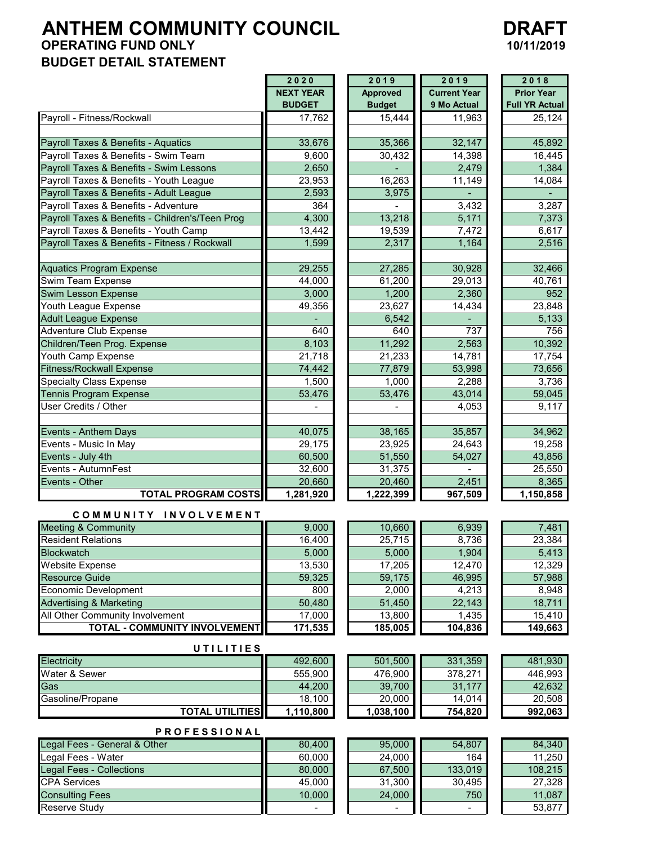# **ANTHEM COMMUNITY COUNCIL OPERATING FUND ONLY BUDGET DETAIL STATEMENT**

| <b>DRAFT</b> |
|--------------|
| 10/11/2019   |

|                                                 | 2020             | 2019             | 2019                | 2018                  |
|-------------------------------------------------|------------------|------------------|---------------------|-----------------------|
|                                                 | <b>NEXT YEAR</b> | <b>Approved</b>  | <b>Current Year</b> | <b>Prior Year</b>     |
|                                                 | <b>BUDGET</b>    | <b>Budget</b>    | 9 Mo Actual         | <b>Full YR Actual</b> |
| Payroll - Fitness/Rockwall                      | 17,762           | 15,444           | 11,963              | 25,124                |
| Payroll Taxes & Benefits - Aquatics             | 33,676           | 35,366           | 32,147              | 45,892                |
| Payroll Taxes & Benefits - Swim Team            | 9,600            | 30,432           | 14,398              | 16,445                |
| Payroll Taxes & Benefits - Swim Lessons         | 2,650            |                  | 2,479               | 1,384                 |
| Payroll Taxes & Benefits - Youth League         | 23,953           | 16,263           | 11,149              | 14,084                |
| Payroll Taxes & Benefits - Adult League         | 2,593            | 3,975            |                     |                       |
| Payroll Taxes & Benefits - Adventure            | 364              |                  | 3,432               | 3,287                 |
| Payroll Taxes & Benefits - Children's/Teen Prog | 4,300            | 13,218           | 5,171               | 7,373                 |
| Payroll Taxes & Benefits - Youth Camp           | 13,442           | 19,539           | 7,472               | 6,617                 |
| Payroll Taxes & Benefits - Fitness / Rockwall   | 1,599            | 2,317            | 1,164               | 2,516                 |
|                                                 |                  |                  |                     |                       |
| <b>Aquatics Program Expense</b>                 | 29,255           | 27,285           | 30,928              | 32,466                |
| Swim Team Expense                               | 44,000           | 61,200           | 29,013              | 40,761                |
| Swim Lesson Expense                             | 3,000            | 1,200            | 2,360               | 952                   |
| Youth League Expense                            | 49,356           | 23,627           | 14,434              | 23,848                |
| <b>Adult League Expense</b>                     |                  | 6,542            |                     | 5,133                 |
| <b>Adventure Club Expense</b>                   | 640              | 640              | 737                 | 756                   |
| Children/Teen Prog. Expense                     | 8,103            | 11,292           | 2,563               | 10,392                |
| Youth Camp Expense                              | 21,718           | 21,233           | 14,781              | 17,754                |
| <b>Fitness/Rockwall Expense</b>                 | 74,442           | 77,879           | 53,998              | 73,656                |
| <b>Specialty Class Expense</b>                  | 1,500            | 1,000            | 2,288               | 3,736                 |
| <b>Tennis Program Expense</b>                   | 53,476           | 53,476           | 43,014              | 59,045                |
| User Credits / Other                            | $\blacksquare$   |                  | 4,053               | 9,117                 |
| Events - Anthem Days                            | 40,075           | 38,165           | 35,857              | 34,962                |
| Events - Music In May                           | 29,175           | 23,925           | 24,643              | 19,258                |
| Events - July 4th                               | 60,500           | 51,550           | 54,027              | 43,856                |
| Events - AutumnFest                             | 32,600           | 31,375           |                     | 25,550                |
| Events - Other                                  | 20,660           | 20,460           | 2,451               | 8,365                 |
| <b>TOTAL PROGRAM COSTS</b>                      | 1,281,920        | 1,222,399        | 967,509             | 1,150,858             |
| COMMUNITY INVOLVEMENT                           |                  |                  |                     |                       |
| <b>Meeting &amp; Community</b>                  | 9,000            | 10,660           | 6,939               | 7,481                 |
| <b>Resident Relations</b>                       | 16,400           | 25,715           | 8,736               | 23,384                |
| <b>Blockwatch</b>                               | 5,000            | 5,000            | 1,904               | 5,413                 |
| <b>Website Expense</b>                          | 13,530           | 17,205           | 12,470              | 12,329                |
| Resource Guide                                  | 59,325           | 59,175           | 46,995              | 57,988                |
| <b>Economic Development</b>                     | 800              | 2,000            | 4,213               | 8,948                 |
| <b>Advertising &amp; Marketing</b>              | 50,480           | 51,450           | 22,143              | 18,711                |
| All Other Community Involvement                 | 17,000           | 13,800           | 1,435               | 15,410                |
| TOTAL - COMMUNITY INVOLVEMENT                   | 171,535          | 185,005          | 104,836             | 149,663               |
| UTILITIES                                       |                  |                  |                     |                       |
| Electricity                                     | 492,600          | 501,500          | 331,359             | 481,930               |
| Water & Sewer                                   | 555,900          | 476,900          | 378,271             | 446,993               |
| Gas                                             | 44,200           | 39,700           | 31,177              | 42,632                |
| Gasoline/Propane                                | 18,100           | 20,000           | 14,014              | 20,508                |
| <b>TOTAL UTILITIES</b>                          | 1,110,800        | 1,038,100        | 754,820             | 992,063               |
| <b>PROFESSIONAL</b>                             |                  |                  |                     |                       |
| Legal Fees - General & Other                    | 80,400           | 95,000           | 54,807              | 84,340                |
| Legal Fees - Water                              | 60,000           | 24,000           | 164                 | 11,250                |
| <b>Legal Fees - Collections</b>                 |                  |                  |                     |                       |
|                                                 |                  |                  | 133,019             |                       |
| <b>CPA Services</b>                             | 80,000<br>45,000 | 67,500           |                     | 108,215               |
| <b>Consulting Fees</b>                          | 10,000           | 31,300<br>24,000 | 30,495<br>750       | 27,328<br>11,087      |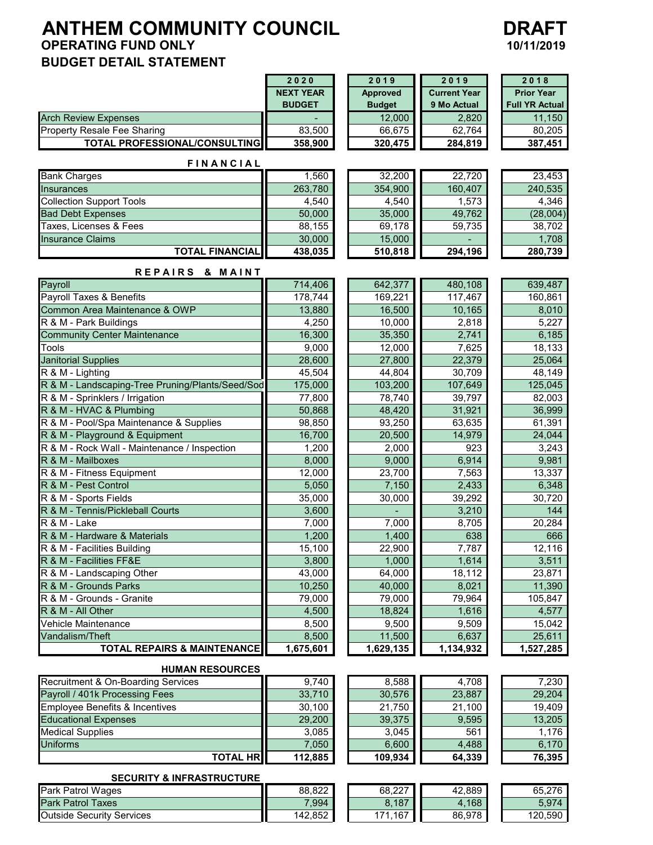# **ANTHEM COMMUNITY COUNCIL DRAFT**<br>OPERATING FUND ONLY 10/11/2019 **OPERATING FUND ONLY BUDGET DETAIL STATEMENT**



|                                                            | 2020               | 2019                | 2019                | 2018                  |
|------------------------------------------------------------|--------------------|---------------------|---------------------|-----------------------|
|                                                            | <b>NEXT YEAR</b>   | Approved            | <b>Current Year</b> | <b>Prior Year</b>     |
|                                                            | <b>BUDGET</b>      | <b>Budget</b>       | 9 Mo Actual         | <b>Full YR Actual</b> |
| <b>Arch Review Expenses</b>                                |                    | 12,000              | 2,820               | 11,150                |
| <b>Property Resale Fee Sharing</b>                         | 83,500             | 66,675              | 62,764              | 80,205                |
| TOTAL PROFESSIONAL/CONSULTING                              | 358,900            | 320,475             | 284,819             | 387,451               |
| <b>FINANCIAL</b>                                           |                    |                     |                     |                       |
| <b>Bank Charges</b>                                        | 1,560              | 32,200              | 22,720              | 23,453                |
| <b>Insurances</b>                                          | 263,780            | 354,900             | 160,407             | 240,535               |
| <b>Collection Support Tools</b>                            | 4,540              | 4,540               | 1,573               | 4,346                 |
| <b>Bad Debt Expenses</b>                                   | 50,000             | 35,000              | 49,762              | (28,004)              |
| Taxes, Licenses & Fees                                     | 88,155             | 69,178              | 59,735              | 38,702                |
| <b>Insurance Claims</b>                                    | 30,000             | 15,000              |                     | 1,708                 |
| <b>TOTAL FINANCIAL</b>                                     | 438,035            | 510,818             | 294,196             | 280,739               |
| REPAIRS & MAINT                                            |                    |                     |                     |                       |
| Payroll                                                    | 714,406            | 642,377             | 480,108             | 639,487               |
| Payroll Taxes & Benefits                                   | 178,744            | 169,221             | 117,467             | 160,861               |
| Common Area Maintenance & OWP                              | 13,880             | 16,500              | 10,165              | 8,010                 |
| R & M - Park Buildings                                     | 4,250              | 10,000              | 2,818               | 5,227                 |
| <b>Community Center Maintenance</b>                        | 16,300             | 35,350              | 2,741               | 6,185                 |
| Tools                                                      | 9,000              | 12,000              | 7,625               | 18,133                |
| <b>Janitorial Supplies</b>                                 | 28,600             | 27,800              | 22,379              | 25,064                |
| R & M - Lighting                                           | 45,504             | 44,804              | 30,709              | 48,149                |
| R & M - Landscaping-Tree Pruning/Plants/Seed/Sod           | 175,000            | 103,200             | 107,649             | 125,045               |
| R & M - Sprinklers / Irrigation<br>R & M - HVAC & Plumbing | 77,800<br>50,868   | 78,740<br>48,420    | 39,797<br>31,921    | 82,003<br>36,999      |
| R & M - Pool/Spa Maintenance & Supplies                    | 98,850             | 93,250              | 63,635              | 61,391                |
| R & M - Playground & Equipment                             | 16,700             | 20,500              | 14,979              | 24,044                |
| R & M - Rock Wall - Maintenance / Inspection               | 1,200              | 2,000               | 923                 | 3,243                 |
| R & M - Mailboxes                                          | 8,000              | 9,000               | 6,914               | 9,981                 |
| R & M - Fitness Equipment                                  | 12,000             | 23,700              | 7,563               | 13,337                |
| R & M - Pest Control                                       | 5,050              | 7,150               | 2,433               | 6,348                 |
| R & M - Sports Fields                                      | 35,000             | 30,000              | 39,292              | 30,720                |
| R & M - Tennis/Pickleball Courts                           | 3,600              |                     | 3,210               | 144                   |
| R & M - Lake                                               | 7,000              | 7,000               | 8,705               | 20,284                |
| R & M - Hardware & Materials                               | 1,200              | 1,400               | 638                 | 666                   |
| R & M - Facilities Building                                | 15,100             | 22,900              | 7,787               | 12,116                |
| R & M - Facilities FF&E                                    | 3,800              | 1,000               | 1,614               | 3,511                 |
| R & M - Landscaping Other                                  | 43,000             | 64,000              | 18,112              | 23,871                |
| R & M - Grounds Parks                                      | 10,250             | 40,000              | 8,021               | 11,390                |
| R & M - Grounds - Granite                                  | 79,000             | 79,000              | 79,964              | 105,847               |
| R & M - All Other                                          | 4,500              | 18,824              | 1,616               | 4,577                 |
| Vehicle Maintenance                                        | 8,500              | 9,500               | 9,509               | 15,042                |
| Vandalism/Theft<br><b>TOTAL REPAIRS &amp; MAINTENANCE</b>  | 8,500<br>1,675,601 | 11,500<br>1,629,135 | 6,637<br>1,134,932  | 25,611<br>1,527,285   |
|                                                            |                    |                     |                     |                       |
| <b>HUMAN RESOURCES</b>                                     |                    |                     |                     |                       |
| Recruitment & On-Boarding Services                         | 9,740              | 8,588               | 4,708               | 7,230                 |
| Payroll / 401k Processing Fees                             | 33,710             | 30,576              | 23,887              | 29,204                |
| <b>Employee Benefits &amp; Incentives</b>                  | 30,100             | 21,750              | 21,100              | 19,409                |
| <b>Educational Expenses</b>                                | 29,200             | 39,375              | 9,595               | 13,205                |
| <b>Medical Supplies</b>                                    | 3,085              | 3,045               | 561                 | 1,176                 |
| <b>Uniforms</b>                                            | 7,050              | 6,600               | 4,488               | 6,170                 |
| <b>TOTAL HR</b>                                            | 112,885            | 109,934             | 64,339              | 76,395                |

#### **SECURITY & INFRASTRUCTURE**

| Park<br><b>Wages</b><br>Patrol      | 88,822  | 68,227     | 42,889 | 65,276  |
|-------------------------------------|---------|------------|--------|---------|
| <b>I</b> Park<br>Taxes<br>Patrol    | 7,994   | .187<br>о. | 4.168  | 5,974   |
| <b>Outside Security</b><br>Services | 142.852 | .167<br>71 | 86,978 | 120,590 |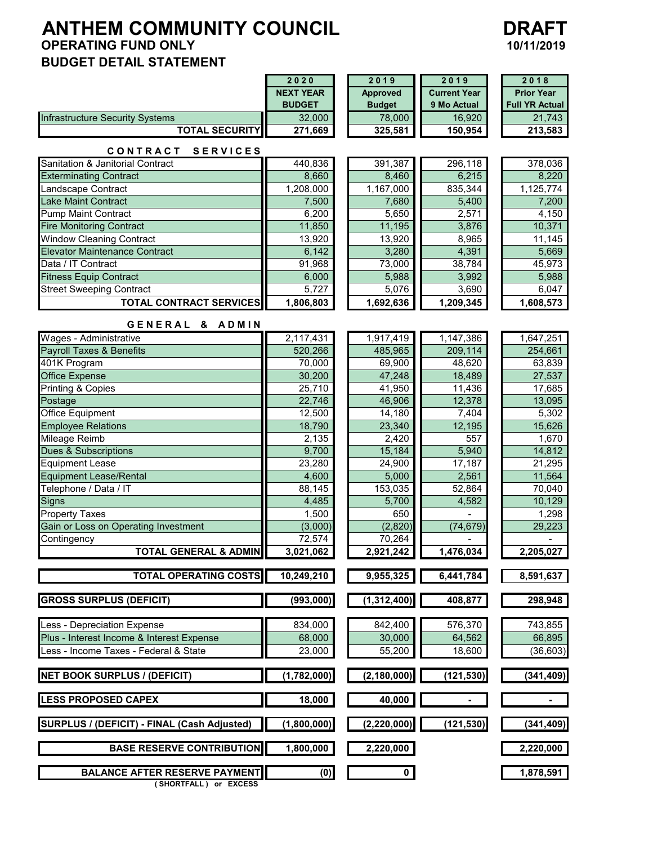# **ANTHEM COMMUNITY COUNCIL DRAFT**<br>OPERATING FUND ONLY 10/11/2019 **OPERATING FUND ONLY BUDGET DETAIL STATEMENT**



|                                                               | 2020                 | 2019                 | 2019                | 2018                  |
|---------------------------------------------------------------|----------------------|----------------------|---------------------|-----------------------|
|                                                               | <b>NEXT YEAR</b>     | <b>Approved</b>      | <b>Current Year</b> | <b>Prior Year</b>     |
|                                                               | <b>BUDGET</b>        | <b>Budget</b>        | 9 Mo Actual         | <b>Full YR Actual</b> |
| Infrastructure Security Systems                               | 32,000               | 78,000               | 16,920              | 21,743                |
| <b>TOTAL SECURITY</b>                                         | 271,669              | 325,581              | 150,954             | 213,583               |
| CONTRACT<br><b>SERVICES</b>                                   |                      |                      |                     |                       |
| Sanitation & Janitorial Contract                              | 440,836              | 391,387              | 296,118             | 378,036               |
| <b>Exterminating Contract</b>                                 | 8,660                | 8,460                | 6,215               | 8,220                 |
| Landscape Contract                                            | 1,208,000            | 1,167,000            | 835,344             | 1,125,774             |
| Lake Maint Contract                                           | 7,500                | 7,680                | 5,400               | 7,200                 |
| <b>Pump Maint Contract</b>                                    | 6,200                | 5,650                | 2,571               | 4,150                 |
| <b>Fire Monitoring Contract</b>                               | 11,850               | 11,195               | 3,876               | 10,371                |
| Window Cleaning Contract                                      | 13,920               | 13,920               | 8,965               | 11,145                |
| <b>Elevator Maintenance Contract</b>                          | 6,142                | 3,280                | 4,391               | 5,669                 |
| Data / IT Contract                                            | 91,968               | 73,000               | 38,784              | 45,973                |
| <b>Fitness Equip Contract</b>                                 | 6,000                | 5,988                | 3,992               | 5,988                 |
| <b>Street Sweeping Contract</b>                               | 5,727                | 5,076                | 3,690               | 6,047                 |
| <b>TOTAL CONTRACT SERVICES</b>                                | 1,806,803            | 1,692,636            | 1,209,345           | 1,608,573             |
|                                                               |                      |                      |                     |                       |
| GENERAL & ADMIN<br>Wages - Administrative                     |                      |                      | 1,147,386           | 1,647,251             |
| <b>Payroll Taxes &amp; Benefits</b>                           | 2,117,431<br>520,266 | 1,917,419<br>485,965 | 209,114             | 254,661               |
| 401K Program                                                  | 70,000               | 69,900               | 48,620              | 63,839                |
| <b>Office Expense</b>                                         | 30,200               | 47,248               | 18,489              | 27,537                |
| Printing & Copies                                             | 25,710               | 41,950               | 11,436              | 17,685                |
| Postage                                                       | 22,746               | 46,906               | 12,378              | 13,095                |
| Office Equipment                                              | 12,500               | 14,180               | 7,404               | 5,302                 |
| <b>Employee Relations</b>                                     | 18,790               | 23,340               | 12,195              | 15,626                |
| Mileage Reimb                                                 | 2,135                | 2,420                | 557                 | 1,670                 |
| Dues & Subscriptions                                          | 9,700                | 15,184               | 5,940               | 14,812                |
| <b>Equipment Lease</b>                                        | 23,280               | 24,900               | 17,187              | 21,295                |
| <b>Equipment Lease/Rental</b>                                 | 4,600                | 5,000                | 2,561               | 11,564                |
| Telephone / Data / IT                                         | 88,145               | 153,035              | 52,864              | 70,040                |
| <b>Signs</b>                                                  | 4,485                | 5,700                | 4,582               | 10,129                |
| Property Taxes                                                | 1,500                | 650                  |                     | 1,298                 |
| Gain or Loss on Operating Investment                          | (3,000)              | (2,820)              | (74, 679)           | 29,223                |
| Contingency                                                   | 72,574               | 70,264               |                     |                       |
| <b>TOTAL GENERAL &amp; ADMIN</b>                              | 3,021,062            | 2,921,242            | 1,476,034           | 2,205,027             |
| <b>TOTAL OPERATING COSTS</b>                                  | 10,249,210           | 9,955,325            | 6,441,784           | 8,591,637             |
|                                                               |                      |                      |                     |                       |
| <b>GROSS SURPLUS (DEFICIT)</b>                                | (993,000)            | (1,312,400)          | 408,877             | 298,948               |
| Less - Depreciation Expense                                   | 834,000              | 842,400              | 576,370             | 743,855               |
| Plus - Interest Income & Interest Expense                     | 68,000               | 30,000               | 64,562              | 66,895                |
| Less - Income Taxes - Federal & State                         | 23,000               | 55,200               | 18,600              | (36, 603)             |
|                                                               |                      |                      |                     |                       |
| <b>NET BOOK SURPLUS / (DEFICIT)</b>                           | (1,782,000)          | (2, 180, 000)        | (121, 530)          | (341, 409)            |
| <b>LESS PROPOSED CAPEX</b>                                    | 18,000               | 40,000               |                     |                       |
| SURPLUS / (DEFICIT) - FINAL (Cash Adjusted)                   | (1,800,000)          | (2, 220, 000)        | (121, 530)          | (341, 409)            |
| <b>BASE RESERVE CONTRIBUTION</b>                              | 1,800,000            | 2,220,000            |                     | 2,220,000             |
|                                                               |                      |                      |                     |                       |
| <b>BALANCE AFTER RESERVE PAYMENT</b><br>(SHORTFALL) or EXCESS | (0)                  | $\mathbf 0$          |                     | 1,878,591             |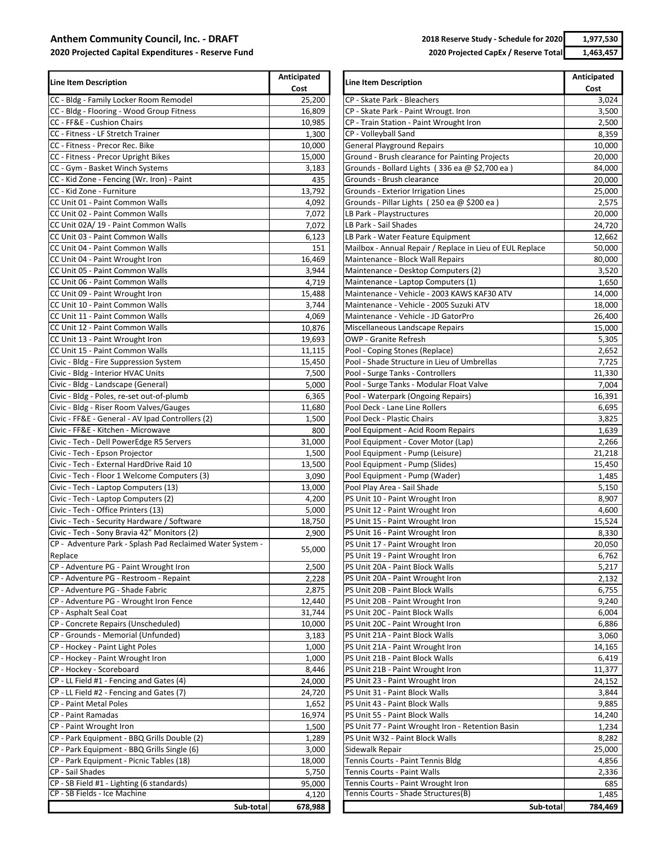#### **Anthem Corn**

**2020 Projected Capital Expenditures ‐ Reserve Fund**

**2018 Reserve Study ‐ Schedule for 2020 1,977,530 2020 Projected CapEx / Reserve Total 1,463,457** 

| mmunity Council, Inc. - DRAFT |  |
|-------------------------------|--|
|                               |  |

| <b>Line Item Description</b>                              | Anticipated<br>Cost | <b>Line Item Description</b>                             |         |  |
|-----------------------------------------------------------|---------------------|----------------------------------------------------------|---------|--|
| CC - Bldg - Family Locker Room Remodel                    | 25,200              | CP - Skate Park - Bleachers                              | 3,024   |  |
| CC - Bldg - Flooring - Wood Group Fitness                 | 16,809              | CP - Skate Park - Paint Wrougt. Iron                     | 3,500   |  |
| CC - FF&E - Cushion Chairs                                | 10,985              | CP - Train Station - Paint Wrought Iron                  | 2,500   |  |
| CC - Fitness - LF Stretch Trainer                         | 1,300               | CP - Volleyball Sand                                     | 8,359   |  |
| CC - Fitness - Precor Rec. Bike                           | 10,000              | <b>General Playground Repairs</b>                        | 10,000  |  |
| CC - Fitness - Precor Upright Bikes                       | 15,000              | Ground - Brush clearance for Painting Projects           | 20,000  |  |
| CC - Gym - Basket Winch Systems                           | 3,183               | Grounds - Bollard Lights (336 ea $@$ \$2,700 ea)         | 84,000  |  |
| CC - Kid Zone - Fencing (Wr. Iron) - Paint                | 435                 | Grounds - Brush clearance                                | 20,000  |  |
| CC - Kid Zone - Furniture                                 | 13,792              | Grounds - Exterior Irrigation Lines                      | 25,000  |  |
| CC Unit 01 - Paint Common Walls                           | 4,092               | Grounds - Pillar Lights (250 ea @ \$200 ea)              | 2,575   |  |
| CC Unit 02 - Paint Common Walls                           | 7,072               | LB Park - Playstructures                                 | 20,000  |  |
| CC Unit 02A/19 - Paint Common Walls                       | 7,072               | LB Park - Sail Shades                                    | 24,720  |  |
| CC Unit 03 - Paint Common Walls                           | 6,123               | LB Park - Water Feature Equipment                        | 12,662  |  |
| CC Unit 04 - Paint Common Walls                           | 151                 | Mailbox - Annual Repair / Replace in Lieu of EUL Replace | 50,000  |  |
| CC Unit 04 - Paint Wrought Iron                           | 16,469              | Maintenance - Block Wall Repairs                         | 80,000  |  |
| CC Unit 05 - Paint Common Walls                           | 3,944               | Maintenance - Desktop Computers (2)                      | 3,520   |  |
| CC Unit 06 - Paint Common Walls                           | 4,719               | Maintenance - Laptop Computers (1)                       | 1,650   |  |
| CC Unit 09 - Paint Wrought Iron                           | 15,488              | Maintenance - Vehicle - 2003 KAWS KAF30 ATV              | 14,000  |  |
| CC Unit 10 - Paint Common Walls                           | 3,744               | Maintenance - Vehicle - 2005 Suzuki ATV                  | 18,000  |  |
| CC Unit 11 - Paint Common Walls                           | 4,069               | Maintenance - Vehicle - JD GatorPro                      | 26,400  |  |
| CC Unit 12 - Paint Common Walls                           | 10,876              | Miscellaneous Landscape Repairs                          | 15,000  |  |
| CC Unit 13 - Paint Wrought Iron                           | 19,693              | <b>OWP</b> - Granite Refresh                             | 5,305   |  |
| CC Unit 15 - Paint Common Walls                           | 11,115              | Pool - Coping Stones (Replace)                           | 2,652   |  |
| Civic - Bldg - Fire Suppression System                    | 15,450              | Pool - Shade Structure in Lieu of Umbrellas              | 7,725   |  |
| Civic - Bldg - Interior HVAC Units                        | 7,500               | Pool - Surge Tanks - Controllers                         | 11,330  |  |
| Civic - Bldg - Landscape (General)                        | 5,000               | Pool - Surge Tanks - Modular Float Valve                 | 7,004   |  |
| Civic - Bldg - Poles, re-set out-of-plumb                 | 6,365               | Pool - Waterpark (Ongoing Repairs)                       | 16,391  |  |
| Civic - Bldg - Riser Room Valves/Gauges                   | 11,680              | Pool Deck - Lane Line Rollers                            | 6,695   |  |
| Civic - FF&E - General - AV Ipad Controllers (2)          | 1,500               | Pool Deck - Plastic Chairs                               | 3,825   |  |
| Civic - FF&E - Kitchen - Microwave                        | 800                 | Pool Equipment - Acid Room Repairs                       | 1,639   |  |
| Civic - Tech - Dell PowerEdge R5 Servers                  | 31,000              | Pool Equipment - Cover Motor (Lap)                       | 2,266   |  |
| Civic - Tech - Epson Projector                            | 1,500               | Pool Equipment - Pump (Leisure)                          | 21,218  |  |
| Civic - Tech - External HardDrive Raid 10                 | 13,500              | Pool Equipment - Pump (Slides)                           | 15,450  |  |
| Civic - Tech - Floor 1 Welcome Computers (3)              | 3,090               | Pool Equipment - Pump (Wader)                            | 1,485   |  |
| Civic - Tech - Laptop Computers (13)                      | 13,000              | Pool Play Area - Sail Shade                              | 5,150   |  |
| Civic - Tech - Laptop Computers (2)                       | 4,200               | PS Unit 10 - Paint Wrought Iron                          | 8,907   |  |
| Civic - Tech - Office Printers (13)                       | 5,000               | PS Unit 12 - Paint Wrought Iron                          | 4,600   |  |
| Civic - Tech - Security Hardware / Software               | 18,750              | PS Unit 15 - Paint Wrought Iron                          | 15,524  |  |
| Civic - Tech - Sony Bravia 42" Monitors (2)               | 2,900               | PS Unit 16 - Paint Wrought Iron                          | 8,330   |  |
| CP - Adventure Park - Splash Pad Reclaimed Water System - |                     | PS Unit 17 - Paint Wrought Iron                          | 20,050  |  |
| Replace                                                   | 55,000              | PS Unit 19 - Paint Wrought Iron                          | 6,762   |  |
| CP - Adventure PG - Paint Wrought Iron                    | 2,500               | PS Unit 20A - Paint Block Walls                          | 5,217   |  |
| CP - Adventure PG - Restroom - Repaint                    | 2,228               | PS Unit 20A - Paint Wrought Iron                         | 2,132   |  |
| CP - Adventure PG - Shade Fabric                          | 2,875               | PS Unit 20B - Paint Block Walls                          | 6,755   |  |
| CP - Adventure PG - Wrought Iron Fence                    | 12,440              | PS Unit 20B - Paint Wrought Iron                         | 9,240   |  |
| CP - Asphalt Seal Coat                                    | 31,744              | PS Unit 20C - Paint Block Walls                          | 6,004   |  |
| CP - Concrete Repairs (Unscheduled)                       | 10,000              | PS Unit 20C - Paint Wrought Iron                         | 6,886   |  |
| CP - Grounds - Memorial (Unfunded)                        | 3,183               | PS Unit 21A - Paint Block Walls                          | 3,060   |  |
| CP - Hockey - Paint Light Poles                           | 1,000               | PS Unit 21A - Paint Wrought Iron                         | 14,165  |  |
| CP - Hockey - Paint Wrought Iron                          | 1,000               | PS Unit 21B - Paint Block Walls                          | 6,419   |  |
| CP - Hockey - Scoreboard                                  | 8,446               | PS Unit 21B - Paint Wrought Iron                         | 11,377  |  |
| CP - LL Field #1 - Fencing and Gates (4)                  | 24,000              | PS Unit 23 - Paint Wrought Iron                          | 24,152  |  |
| CP - LL Field #2 - Fencing and Gates (7)                  | 24,720              | PS Unit 31 - Paint Block Walls                           | 3,844   |  |
| CP - Paint Metal Poles                                    | 1,652               | PS Unit 43 - Paint Block Walls                           | 9,885   |  |
| CP - Paint Ramadas                                        | 16,974              | PS Unit 55 - Paint Block Walls                           | 14,240  |  |
| CP - Paint Wrought Iron                                   | 1,500               | PS Unit 77 - Paint Wrought Iron - Retention Basin        | 1,234   |  |
| CP - Park Equipment - BBQ Grills Double (2)               | 1,289               | PS Unit W32 - Paint Block Walls                          | 8,282   |  |
| CP - Park Equipment - BBQ Grills Single (6)               | 3,000               | Sidewalk Repair                                          | 25,000  |  |
| CP - Park Equipment - Picnic Tables (18)                  | 18,000              | Tennis Courts - Paint Tennis Bldg                        | 4,856   |  |
| CP - Sail Shades                                          | 5,750               | Tennis Courts - Paint Walls                              | 2,336   |  |
| CP - SB Field #1 - Lighting (6 standards)                 | 95,000              | Tennis Courts - Paint Wrought Iron                       | 685     |  |
| CP - SB Fields - Ice Machine                              | 4,120               | Tennis Courts - Shade Structures(B)                      | 1,485   |  |
| Sub-total                                                 | 678.988             | Sub-total                                                | 784.469 |  |

|           | Anticipated | Line Item Description                                    | Anticipated |
|-----------|-------------|----------------------------------------------------------|-------------|
|           | Cost        |                                                          | Cost        |
|           | 25,200      | CP - Skate Park - Bleachers                              | 3,024       |
|           | 16,809      | CP - Skate Park - Paint Wrougt. Iron                     | 3,500       |
|           | 10,985      | CP - Train Station - Paint Wrought Iron                  | 2,500       |
|           | 1,300       | CP - Volleyball Sand                                     | 8,359       |
|           | 10,000      | <b>General Playground Repairs</b>                        | 10,000      |
|           | 15,000      | Ground - Brush clearance for Painting Projects           | 20,000      |
|           | 3,183       | Grounds - Bollard Lights (336 ea @ \$2,700 ea )          | 84,000      |
|           | 435         | Grounds - Brush clearance                                | 20,000      |
|           | 13,792      | Grounds - Exterior Irrigation Lines                      | 25,000      |
|           | 4,092       | Grounds - Pillar Lights (250 ea @ \$200 ea)              | 2,575       |
|           | 7,072       | LB Park - Playstructures                                 | 20,000      |
|           | 7,072       | LB Park - Sail Shades                                    | 24,720      |
|           | 6,123       | LB Park - Water Feature Equipment                        | 12,662      |
|           | 151         | Mailbox - Annual Repair / Replace in Lieu of EUL Replace | 50,000      |
|           | 16,469      | Maintenance - Block Wall Repairs                         | 80,000      |
|           | 3,944       | Maintenance - Desktop Computers (2)                      | 3,520       |
|           | 4,719       | Maintenance - Laptop Computers (1)                       | 1,650       |
|           | 15,488      | Maintenance - Vehicle - 2003 KAWS KAF30 ATV              | 14,000      |
|           | 3,744       | Maintenance - Vehicle - 2005 Suzuki ATV                  | 18,000      |
|           | 4,069       | Maintenance - Vehicle - JD GatorPro                      | 26,400      |
|           | 10,876      | Miscellaneous Landscape Repairs                          |             |
|           |             |                                                          | 15,000      |
|           | 19,693      | OWP - Granite Refresh                                    | 5,305       |
|           | 11,115      | Pool - Coping Stones (Replace)                           | 2,652       |
|           | 15,450      | Pool - Shade Structure in Lieu of Umbrellas              | 7,725       |
|           | 7,500       | Pool - Surge Tanks - Controllers                         | 11,330      |
|           | 5,000       | Pool - Surge Tanks - Modular Float Valve                 | 7,004       |
|           | 6,365       | Pool - Waterpark (Ongoing Repairs)                       | 16,391      |
|           | 11,680      | Pool Deck - Lane Line Rollers                            | 6,695       |
|           | 1,500       | Pool Deck - Plastic Chairs                               | 3,825       |
|           | 800         | Pool Equipment - Acid Room Repairs                       | 1,639       |
|           | 31,000      | Pool Equipment - Cover Motor (Lap)                       | 2,266       |
|           | 1,500       | Pool Equipment - Pump (Leisure)                          | 21,218      |
|           | 13,500      | Pool Equipment - Pump (Slides)                           | 15,450      |
|           | 3,090       | Pool Equipment - Pump (Wader)                            | 1,485       |
|           | 13,000      | Pool Play Area - Sail Shade                              | 5,150       |
|           | 4,200       | PS Unit 10 - Paint Wrought Iron                          | 8,907       |
|           | 5,000       | PS Unit 12 - Paint Wrought Iron                          | 4,600       |
|           | 18,750      | PS Unit 15 - Paint Wrought Iron                          | 15,524      |
|           | 2,900       | PS Unit 16 - Paint Wrought Iron                          | 8,330       |
| - System  |             | PS Unit 17 - Paint Wrought Iron                          | 20,050      |
|           | 55,000      | PS Unit 19 - Paint Wrought Iron                          | 6,762       |
|           | 2,500       | PS Unit 20A - Paint Block Walls                          | 5,217       |
|           | 2,228       | PS Unit 20A - Paint Wrought Iron                         | 2,132       |
|           | 2,875       | PS Unit 20B - Paint Block Walls                          | 6,755       |
|           | 12,440      | PS Unit 20B - Paint Wrought Iron                         | 9,240       |
|           | 31,744      | PS Unit 20C - Paint Block Walls                          | 6,004       |
|           | 10,000      | PS Unit 20C - Paint Wrought Iron                         | 6,886       |
|           |             | PS Unit 21A - Paint Block Walls                          | 3,060       |
|           | 3,183       |                                                          |             |
|           | 1,000       | PS Unit 21A - Paint Wrought Iron                         | 14,165      |
|           | 1,000       | PS Unit 21B - Paint Block Walls                          | 6,419       |
|           | 8,446       | PS Unit 21B - Paint Wrought Iron                         | 11,377      |
|           | 24,000      | PS Unit 23 - Paint Wrought Iron                          | 24,152      |
|           | 24,720      | PS Unit 31 - Paint Block Walls                           | 3,844       |
|           | 1,652       | PS Unit 43 - Paint Block Walls                           | 9,885       |
|           | 16,974      | PS Unit 55 - Paint Block Walls                           | 14,240      |
|           | 1,500       | PS Unit 77 - Paint Wrought Iron - Retention Basin        | 1,234       |
|           | 1,289       | PS Unit W32 - Paint Block Walls                          | 8,282       |
|           | 3,000       | Sidewalk Repair                                          | 25,000      |
|           | 18,000      | Tennis Courts - Paint Tennis Bldg                        | 4,856       |
|           | 5,750       | Tennis Courts - Paint Walls                              | 2,336       |
|           | 95,000      | Tennis Courts - Paint Wrought Iron                       | 685         |
|           | 4,120       | Tennis Courts - Shade Structures(B)                      | 1,485       |
| Sub-total | 678,988     | Sub-total                                                | 784,469     |
|           |             |                                                          |             |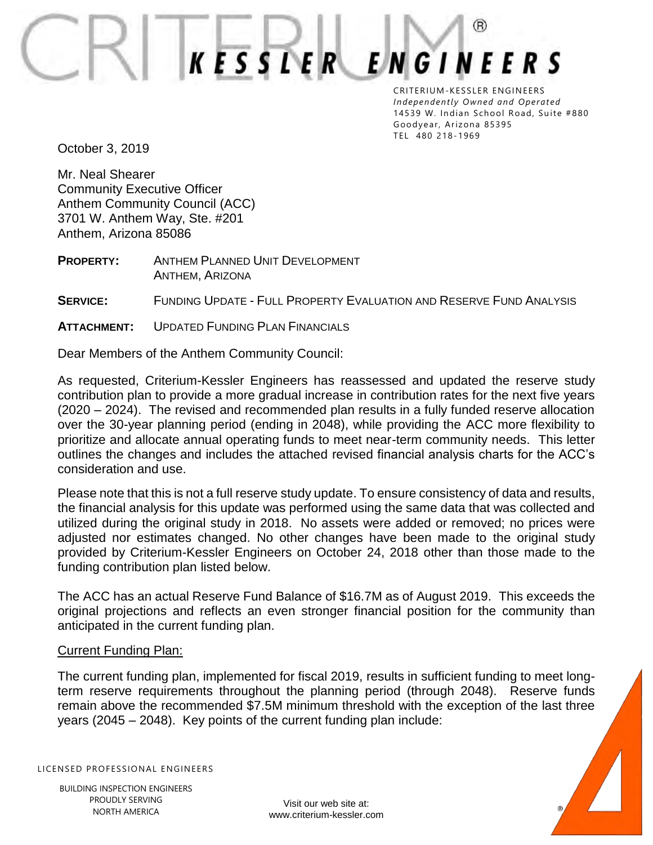(R) **ENGINEERS KESSLER** 

CRITERIUM-KESSLER ENGINEERS *Independently Owned and Operated* 14539 W. Indian School Road, Suite #880 Goodyear, Arizona 85395 TEL 480 218- 1969

October 3, 2019

Mr. Neal Shearer Community Executive Officer Anthem Community Council (ACC) 3701 W. Anthem Way, Ste. #201 Anthem, Arizona 85086

**PROPERTY:** ANTHEM PLANNED UNIT DEVELOPMENT ANTHEM, ARIZONA

**SERVICE:** FUNDING UPDATE - FULL PROPERTY EVALUATION AND RESERVE FUND ANALYSIS

**ATTACHMENT:** UPDATED FUNDING PLAN FINANCIALS

Dear Members of the Anthem Community Council:

As requested, Criterium-Kessler Engineers has reassessed and updated the reserve study contribution plan to provide a more gradual increase in contribution rates for the next five years (2020 – 2024). The revised and recommended plan results in a fully funded reserve allocation over the 30-year planning period (ending in 2048), while providing the ACC more flexibility to prioritize and allocate annual operating funds to meet near-term community needs. This letter outlines the changes and includes the attached revised financial analysis charts for the ACC's consideration and use.

Please note that this is not a full reserve study update. To ensure consistency of data and results, the financial analysis for this update was performed using the same data that was collected and utilized during the original study in 2018. No assets were added or removed; no prices were adjusted nor estimates changed. No other changes have been made to the original study provided by Criterium-Kessler Engineers on October 24, 2018 other than those made to the funding contribution plan listed below.

The ACC has an actual Reserve Fund Balance of \$16.7M as of August 2019. This exceeds the original projections and reflects an even stronger financial position for the community than anticipated in the current funding plan.

#### Current Funding Plan:

The current funding plan, implemented for fiscal 2019, results in sufficient funding to meet longterm reserve requirements throughout the planning period (through 2048). Reserve funds remain above the recommended \$7.5M minimum threshold with the exception of the last three years (2045 – 2048). Key points of the current funding plan include:

LICENSED PROFESSIONAL ENGINEERS



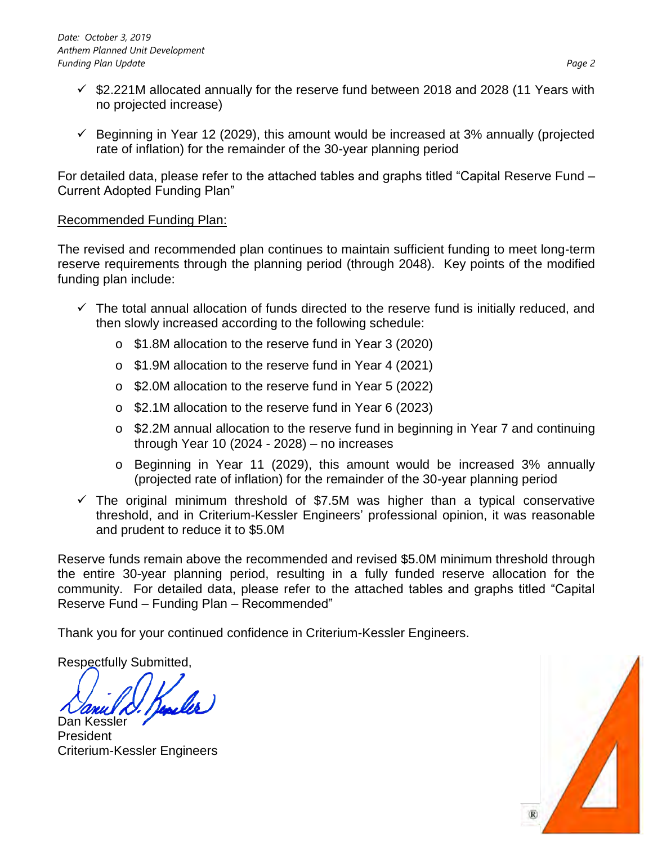- $\checkmark$  \$2.221M allocated annually for the reserve fund between 2018 and 2028 (11 Years with no projected increase)
- $\checkmark$  Beginning in Year 12 (2029), this amount would be increased at 3% annually (projected rate of inflation) for the remainder of the 30-year planning period

For detailed data, please refer to the attached tables and graphs titled "Capital Reserve Fund – Current Adopted Funding Plan"

### Recommended Funding Plan:

The revised and recommended plan continues to maintain sufficient funding to meet long-term reserve requirements through the planning period (through 2048). Key points of the modified funding plan include:

- $\checkmark$  The total annual allocation of funds directed to the reserve fund is initially reduced, and then slowly increased according to the following schedule:
	- o \$1.8M allocation to the reserve fund in Year 3 (2020)
	- o \$1.9M allocation to the reserve fund in Year 4 (2021)
	- o \$2.0M allocation to the reserve fund in Year 5 (2022)
	- o \$2.1M allocation to the reserve fund in Year 6 (2023)
	- o \$2.2M annual allocation to the reserve fund in beginning in Year 7 and continuing through Year 10 (2024 - 2028) – no increases
	- o Beginning in Year 11 (2029), this amount would be increased 3% annually (projected rate of inflation) for the remainder of the 30-year planning period
- $\checkmark$  The original minimum threshold of \$7.5M was higher than a typical conservative threshold, and in Criterium-Kessler Engineers' professional opinion, it was reasonable and prudent to reduce it to \$5.0M

Reserve funds remain above the recommended and revised \$5.0M minimum threshold through the entire 30-year planning period, resulting in a fully funded reserve allocation for the community. For detailed data, please refer to the attached tables and graphs titled "Capital Reserve Fund – Funding Plan – Recommended"

Thank you for your continued confidence in Criterium-Kessler Engineers.

Respectfully Submitted,

Dan Kessler

President Criterium-Kessler Engineers

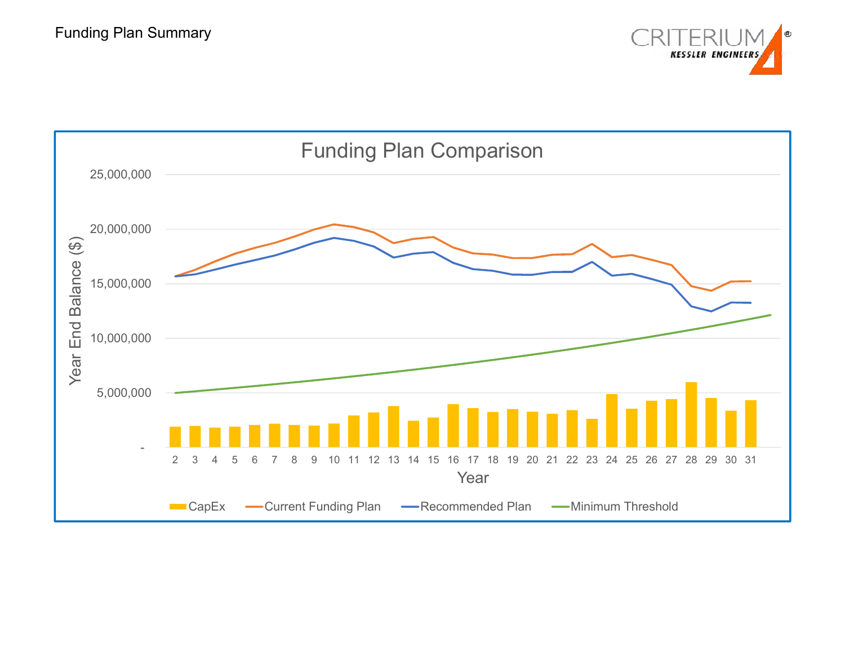

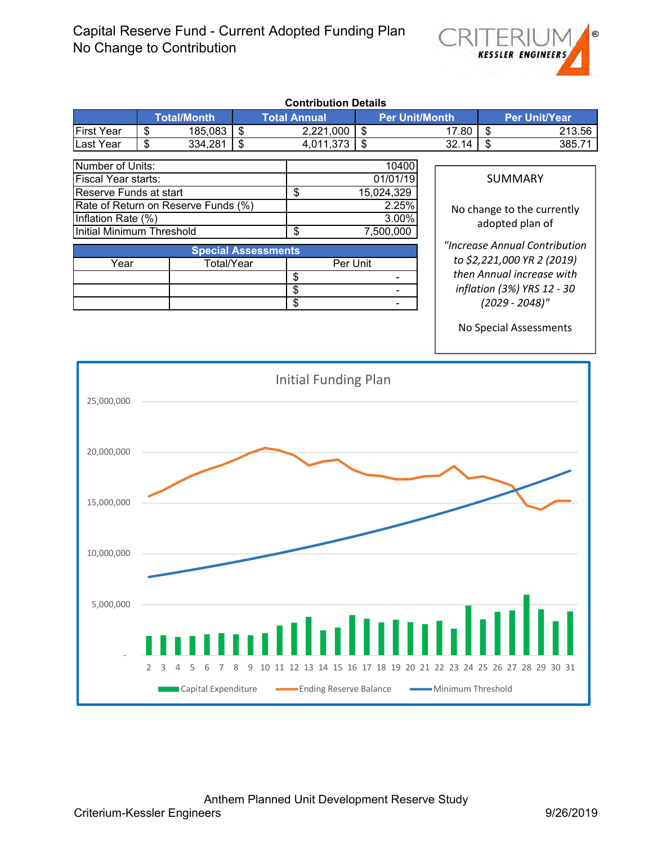

|                                                                   |                 |                     |                            | <b>Contribution Details</b>                                                                  |            |                          |                   |                   |                               |
|-------------------------------------------------------------------|-----------------|---------------------|----------------------------|----------------------------------------------------------------------------------------------|------------|--------------------------|-------------------|-------------------|-------------------------------|
|                                                                   |                 | <b>Total/Month</b>  |                            | <b>Total Annual</b>                                                                          |            | <b>Per Unit/Month</b>    |                   |                   | <b>Per Unit/Year</b>          |
| <b>First Year</b>                                                 | \$              | 185,083             | $\overline{\mathcal{E}}$   | 2,221,000                                                                                    | \$         |                          | 17.80             | \$                | 213.56                        |
| Last Year                                                         | $\overline{\$}$ | 334,281             | $\overline{\$}$            | 4,011,373                                                                                    | \$         |                          | 32.14             | \$                | 385.71                        |
| Number of Units:                                                  |                 |                     |                            |                                                                                              |            |                          |                   |                   |                               |
| Fiscal Year starts:                                               |                 |                     |                            |                                                                                              |            | 10400<br>01/01/19        |                   | <b>SUMMARY</b>    |                               |
| Reserve Funds at start                                            |                 |                     |                            | $\overline{\$}$                                                                              | 15,024,329 |                          |                   |                   |                               |
| Rate of Return on Reserve Funds (%)                               |                 |                     |                            |                                                                                              |            | 2.25%                    |                   |                   |                               |
| Inflation Rate (%)                                                |                 |                     |                            |                                                                                              |            | 3.00%                    |                   |                   | No change to the currently    |
| <b>Initial Minimum Threshold</b>                                  |                 |                     |                            | $\overline{\$}$                                                                              |            | 7,500,000                |                   | adopted plan of   |                               |
|                                                                   |                 |                     |                            |                                                                                              |            |                          |                   |                   | "Increase Annual Contribution |
|                                                                   |                 |                     | <b>Special Assessments</b> |                                                                                              |            |                          |                   |                   | to \$2,221,000 YR 2 (2019)    |
| Year                                                              |                 | Total/Year          |                            | Per Unit                                                                                     |            |                          |                   |                   | then Annual increase with     |
|                                                                   |                 |                     |                            | $\overline{\$}$                                                                              |            |                          |                   |                   |                               |
|                                                                   |                 |                     |                            | $\overline{\$}$<br>$\overline{\$}$                                                           |            | $\overline{\phantom{a}}$ |                   |                   | inflation (3%) YRS 12 - 30    |
|                                                                   |                 |                     |                            |                                                                                              |            |                          |                   | $(2029 - 2048)$ " |                               |
|                                                                   |                 |                     |                            |                                                                                              |            |                          |                   |                   | No Special Assessments        |
|                                                                   |                 |                     |                            |                                                                                              |            |                          |                   |                   |                               |
|                                                                   |                 |                     |                            |                                                                                              |            |                          |                   |                   |                               |
| 25,000,000<br>20,000,000<br>15,000,000<br>10,000,000<br>5,000,000 |                 |                     |                            | Initial Funding Plan                                                                         |            |                          |                   |                   |                               |
|                                                                   | 2               | Capital Expenditure | 9                          | 10 11 12 13 14 15 16 17 18 19 20 21 22 23 24 25 26 27 28 29 30 31<br>-Ending Reserve Balance |            |                          | Minimum Threshold |                   |                               |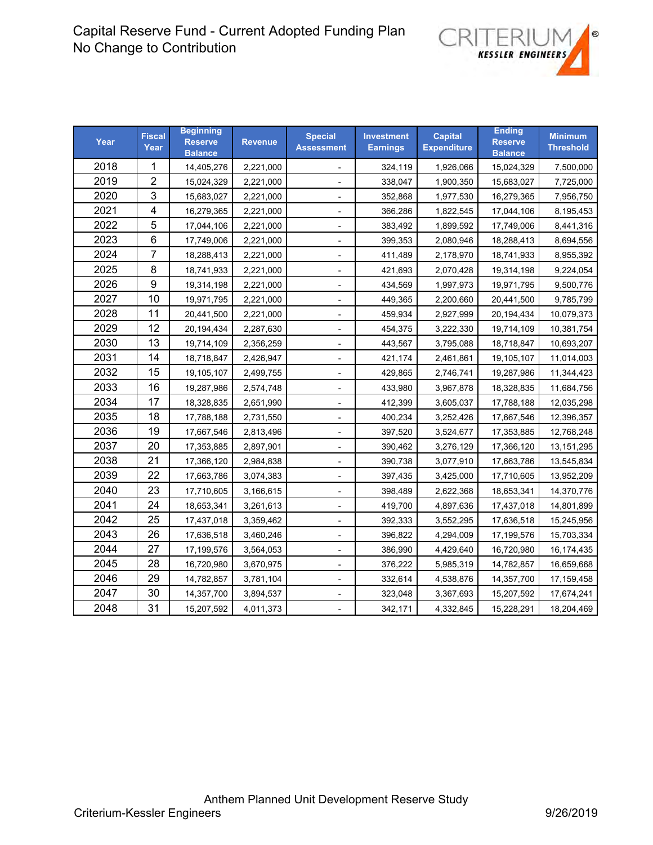

| Year | <b>Fiscal</b><br>Year | <b>Beginning</b><br><b>Reserve</b><br><b>Balance</b> | <b>Revenue</b> | <b>Special</b><br><b>Assessment</b> | <b>Investment</b><br><b>Earnings</b> | <b>Capital</b><br><b>Expenditure</b> | <b>Ending</b><br><b>Reserve</b><br><b>Balance</b> | <b>Minimum</b><br><b>Threshold</b> |
|------|-----------------------|------------------------------------------------------|----------------|-------------------------------------|--------------------------------------|--------------------------------------|---------------------------------------------------|------------------------------------|
| 2018 | 1                     | 14,405,276                                           | 2,221,000      | $\overline{\phantom{a}}$            | 324,119                              | 1,926,066                            | 15,024,329                                        | 7,500,000                          |
| 2019 | $\overline{c}$        | 15,024,329                                           | 2,221,000      |                                     | 338,047                              | 1,900,350                            | 15,683,027                                        | 7,725,000                          |
| 2020 | 3                     | 15,683,027                                           | 2,221,000      |                                     | 352,868                              | 1,977,530                            | 16,279,365                                        | 7,956,750                          |
| 2021 | 4                     | 16,279,365                                           | 2,221,000      | $\overline{\phantom{a}}$            | 366,286                              | 1,822,545                            | 17,044,106                                        | 8,195,453                          |
| 2022 | 5                     | 17,044,106                                           | 2,221,000      | $\overline{\phantom{a}}$            | 383,492                              | 1,899,592                            | 17,749,006                                        | 8,441,316                          |
| 2023 | 6                     | 17,749,006                                           | 2,221,000      | $\overline{\phantom{a}}$            | 399,353                              | 2,080,946                            | 18,288,413                                        | 8,694,556                          |
| 2024 | $\overline{7}$        | 18,288,413                                           | 2,221,000      | $\overline{\phantom{a}}$            | 411,489                              | 2,178,970                            | 18,741,933                                        | 8,955,392                          |
| 2025 | 8                     | 18,741,933                                           | 2,221,000      | $\overline{\phantom{a}}$            | 421,693                              | 2,070,428                            | 19,314,198                                        | 9,224,054                          |
| 2026 | $\boldsymbol{9}$      | 19,314,198                                           | 2,221,000      | $\overline{\phantom{a}}$            | 434,569                              | 1,997,973                            | 19,971,795                                        | 9,500,776                          |
| 2027 | 10                    | 19,971,795                                           | 2,221,000      | $\overline{\phantom{a}}$            | 449,365                              | 2,200,660                            | 20,441,500                                        | 9,785,799                          |
| 2028 | 11                    | 20,441,500                                           | 2,221,000      | $\overline{\phantom{a}}$            | 459,934                              | 2,927,999                            | 20,194,434                                        | 10,079,373                         |
| 2029 | 12                    | 20,194,434                                           | 2,287,630      |                                     | 454,375                              | 3,222,330                            | 19,714,109                                        | 10,381,754                         |
| 2030 | 13                    | 19,714,109                                           | 2,356,259      | $\overline{\phantom{a}}$            | 443,567                              | 3,795,088                            | 18,718,847                                        | 10,693,207                         |
| 2031 | 14                    | 18,718,847                                           | 2,426,947      |                                     | 421,174                              | 2,461,861                            | 19,105,107                                        | 11,014,003                         |
| 2032 | 15                    | 19,105,107                                           | 2,499,755      | $\overline{\phantom{a}}$            | 429,865                              | 2,746,741                            | 19,287,986                                        | 11,344,423                         |
| 2033 | 16                    | 19,287,986                                           | 2,574,748      |                                     | 433,980                              | 3,967,878                            | 18,328,835                                        | 11,684,756                         |
| 2034 | 17                    | 18,328,835                                           | 2,651,990      | $\overline{\phantom{a}}$            | 412,399                              | 3,605,037                            | 17,788,188                                        | 12,035,298                         |
| 2035 | 18                    | 17,788,188                                           | 2,731,550      |                                     | 400,234                              | 3,252,426                            | 17,667,546                                        | 12,396,357                         |
| 2036 | 19                    | 17,667,546                                           | 2,813,496      |                                     | 397,520                              | 3,524,677                            | 17,353,885                                        | 12,768,248                         |
| 2037 | 20                    | 17,353,885                                           | 2,897,901      |                                     | 390,462                              | 3,276,129                            | 17,366,120                                        | 13, 151, 295                       |
| 2038 | 21                    | 17,366,120                                           | 2,984,838      | $\overline{\phantom{a}}$            | 390,738                              | 3,077,910                            | 17,663,786                                        | 13,545,834                         |
| 2039 | 22                    | 17,663,786                                           | 3,074,383      |                                     | 397,435                              | 3,425,000                            | 17,710,605                                        | 13,952,209                         |
| 2040 | 23                    | 17,710,605                                           | 3,166,615      | $\overline{\phantom{a}}$            | 398,489                              | 2,622,368                            | 18,653,341                                        | 14,370,776                         |
| 2041 | 24                    | 18,653,341                                           | 3,261,613      |                                     | 419,700                              | 4,897,636                            | 17,437,018                                        | 14,801,899                         |
| 2042 | 25                    | 17,437,018                                           | 3,359,462      | $\overline{\phantom{a}}$            | 392,333                              | 3,552,295                            | 17,636,518                                        | 15,245,956                         |
| 2043 | 26                    | 17,636,518                                           | 3,460,246      | $\overline{\phantom{a}}$            | 396,822                              | 4,294,009                            | 17,199,576                                        | 15,703,334                         |
| 2044 | 27                    | 17,199,576                                           | 3,564,053      |                                     | 386,990                              | 4,429,640                            | 16,720,980                                        | 16,174,435                         |
| 2045 | 28                    | 16,720,980                                           | 3,670,975      |                                     | 376,222                              | 5,985,319                            | 14,782,857                                        | 16,659,668                         |
| 2046 | 29                    | 14,782,857                                           | 3,781,104      | $\overline{\phantom{a}}$            | 332,614                              | 4,538,876                            | 14,357,700                                        | 17,159,458                         |
| 2047 | 30                    | 14,357,700                                           | 3,894,537      | $\overline{\phantom{0}}$            | 323,048                              | 3,367,693                            | 15,207,592                                        | 17,674,241                         |
| 2048 | 31                    | 15,207,592                                           | 4,011,373      |                                     | 342,171                              | 4,332,845                            | 15,228,291                                        | 18,204,469                         |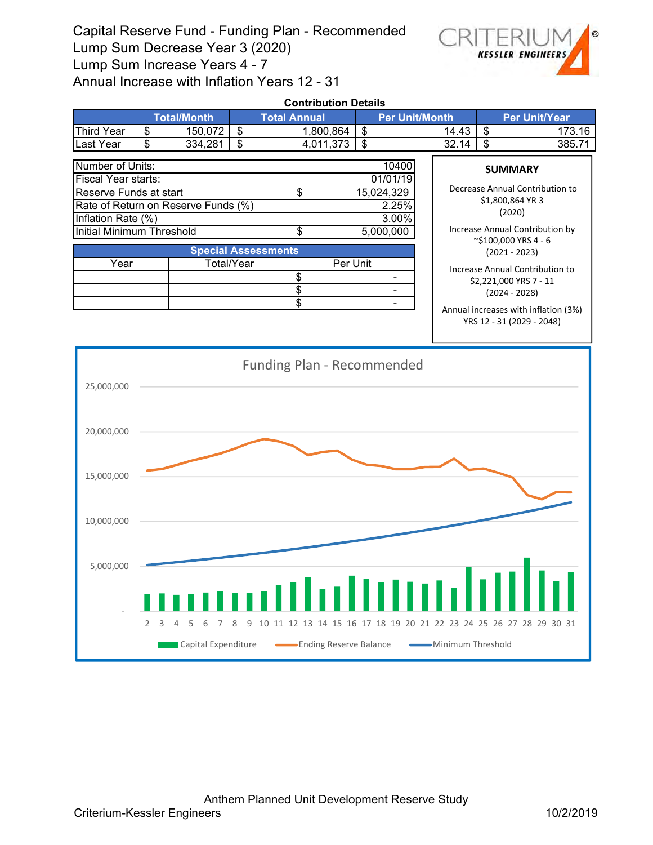Capital Reserve Fund - Funding Plan - Recommended Lump Sum Decrease Year 3 (2020) Lump Sum Increase Years 4 - 7 Annual Increase with Inflation Years 12 - 31



| <b>Contribution Details</b>                                                                                                    |                    |            |                                              |                            |                                                   |                                                                              |                                                                                 |                                                                  |  |  |  |
|--------------------------------------------------------------------------------------------------------------------------------|--------------------|------------|----------------------------------------------|----------------------------|---------------------------------------------------|------------------------------------------------------------------------------|---------------------------------------------------------------------------------|------------------------------------------------------------------|--|--|--|
|                                                                                                                                | <b>Total/Month</b> |            | <b>Total Annual</b><br><b>Per Unit/Month</b> |                            |                                                   | <b>Per Unit/Year</b>                                                         |                                                                                 |                                                                  |  |  |  |
| <b>Third Year</b>                                                                                                              | \$                 | 150,072    | \$                                           | 1,800,864                  | \$                                                | 14.43                                                                        | \$                                                                              | 173.16                                                           |  |  |  |
| Last Year                                                                                                                      | \$                 | 334,281    | \$                                           | 4,011,373                  | \$                                                | 32.14                                                                        | \$                                                                              | 385.71                                                           |  |  |  |
| Number of Units:<br>Fiscal Year starts:<br>Reserve Funds at start<br>Rate of Return on Reserve Funds (%)<br>Inflation Rate (%) |                    |            |                                              | \$                         | 10400<br>01/01/19<br>15,024,329<br>2.25%<br>3.00% |                                                                              | <b>SUMMARY</b><br>Decrease Annual Contribution to<br>\$1,800,864 YR 3<br>(2020) |                                                                  |  |  |  |
| Initial Minimum Threshold                                                                                                      |                    |            |                                              | \$<br>5,000,000            |                                                   |                                                                              |                                                                                 | Increase Annual Contribution by<br>$\approx$ \$100,000 YRS 4 - 6 |  |  |  |
|                                                                                                                                |                    |            | <b>Special Assessments</b>                   |                            |                                                   |                                                                              | $(2021 - 2023)$                                                                 |                                                                  |  |  |  |
| Year                                                                                                                           |                    | Total/Year |                                              | Per Unit<br>\$<br>\$<br>\$ |                                                   | Increase Annual Contribution to<br>\$2,221,000 YRS 7 - 11<br>$(2024 - 2028)$ |                                                                                 |                                                                  |  |  |  |
|                                                                                                                                |                    |            |                                              |                            |                                                   |                                                                              |                                                                                 | Annual increases with inflation (3%)                             |  |  |  |

YRS 12 ‐ 31 (2029 ‐ 2048)